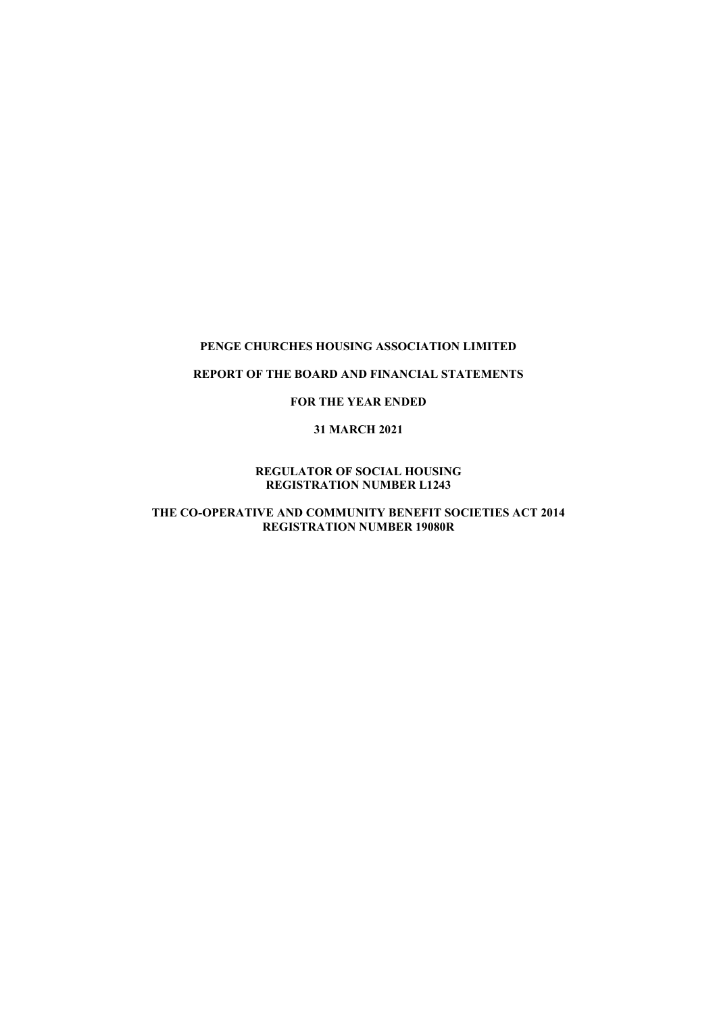### REPORT OF THE BOARD AND FINANCIAL STATEMENTS

### FOR THE YEAR ENDED

#### 31 MARCH 2021

#### REGULATOR OF SOCIAL HOUSING REGISTRATION NUMBER L1243

### THE CO-OPERATIVE AND COMMUNITY BENEFIT SOCIETIES ACT 2014 REGISTRATION NUMBER 19080R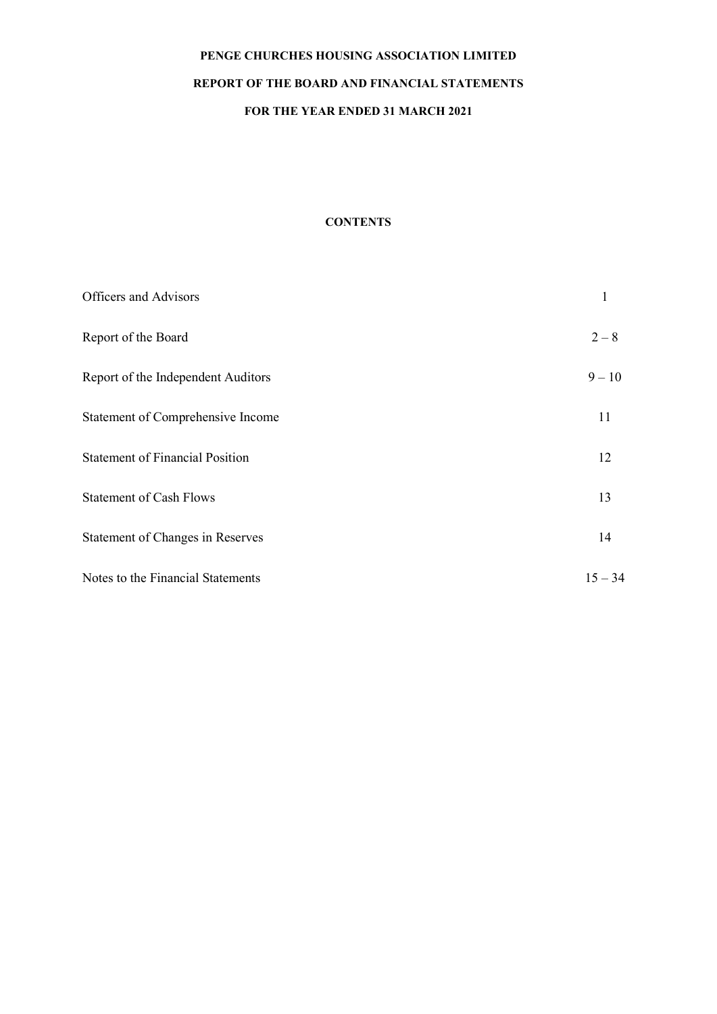### REPORT OF THE BOARD AND FINANCIAL STATEMENTS

# FOR THE YEAR ENDED 31 MARCH 2021

### **CONTENTS**

| Officers and Advisors                  |           |
|----------------------------------------|-----------|
| Report of the Board                    | $2 - 8$   |
| Report of the Independent Auditors     | $9 - 10$  |
| Statement of Comprehensive Income      | 11        |
| <b>Statement of Financial Position</b> | 12        |
| <b>Statement of Cash Flows</b>         | 13        |
| Statement of Changes in Reserves       | 14        |
| Notes to the Financial Statements      | $15 - 34$ |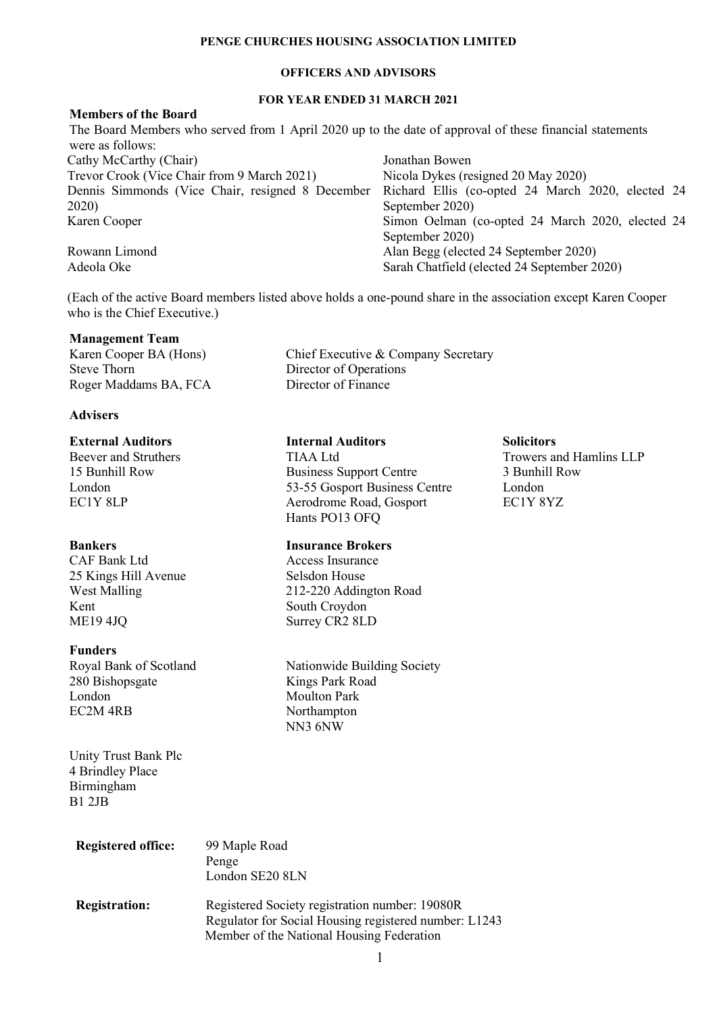### OFFICERS AND ADVISORS

### FOR YEAR ENDED 31 MARCH 2021

#### Members of the Board The Board Members who served from 1 April 2020 up to the date of approval of these financial statements were as follows: Cathy McCarthy (Chair) Jonathan Bowen Trevor Crook (Vice Chair from 9 March 2021) Nicola Dykes (resigned 20 May 2020) Dennis Simmonds (Vice Chair, resigned 8 December 2020) Richard Ellis (co-opted 24 March 2020, elected 24 September 2020) Karen Cooper Simon Oelman (co-opted 24 March 2020, elected 24 September 2020) Rowann Limond Alan Begg (elected 24 September 2020) Adeola Oke Sarah Chatfield (elected 24 September 2020)

(Each of the active Board members listed above holds a one-pound share in the association except Karen Cooper who is the Chief Executive.)

Director of Operations

Hants PO13 OFQ

**Management Team<br>Karen Cooper BA (Hons)** Karen Cooper BA (Hons) Chief Executive & Company Secretary<br>Steve Thorn Director of Operations Roger Maddams BA, FCA Director of Finance

### **Advisers**

# **External Auditors** Internal Auditors Solicitors

15 Bunhill Row Business Support Centre 3 Bunhill Row London 53-55 Gosport Business Centre London EC1Y 8LP **Aerodrome Road, Gosport** EC1Y 8YZ

### Bankers Insurance Brokers

CAF Bank Ltd Access Insurance 25 Kings Hill Avenue Selsdon House West Malling 212-220 Addington Road Kent South Croydon ME19 4JQ Surrey CR2 8LD

### Funders

Royal Bank of Scotland Nationwide Building Society<br>
280 Bishopsgate Kings Park Road 280 Bishopsgate London Moulton Park EC2M 4RB Northampton

Unity Trust Bank Plc 4 Brindley Place Birmingham B1 2JB

| <b>Registered office:</b> | 99 Maple Road<br>Penge<br>London SE20 8LN                                                                                                            |
|---------------------------|------------------------------------------------------------------------------------------------------------------------------------------------------|
| <b>Registration:</b>      | Registered Society registration number: 19080R<br>Regulator for Social Housing registered number: L1243<br>Member of the National Housing Federation |

NN3 6NW

Beever and Struthers TIAA Ltd Trowers and Hamlins LLP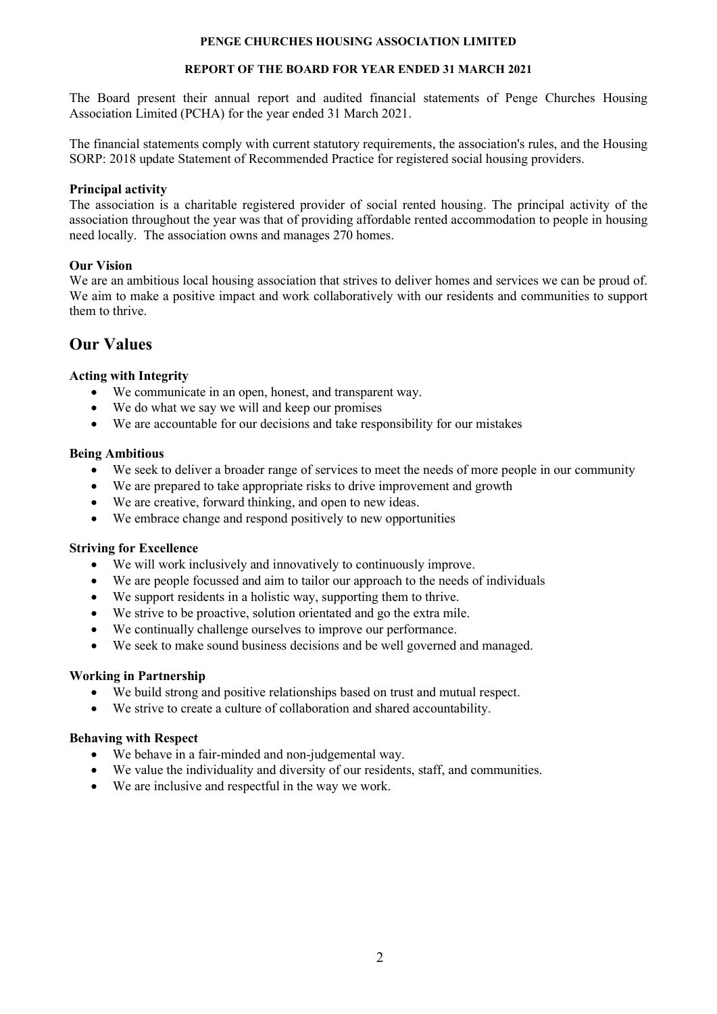### REPORT OF THE BOARD FOR YEAR ENDED 31 MARCH 2021

The Board present their annual report and audited financial statements of Penge Churches Housing Association Limited (PCHA) for the year ended 31 March 2021.

The financial statements comply with current statutory requirements, the association's rules, and the Housing SORP: 2018 update Statement of Recommended Practice for registered social housing providers.

### Principal activity

The association is a charitable registered provider of social rented housing. The principal activity of the association throughout the year was that of providing affordable rented accommodation to people in housing need locally. The association owns and manages 270 homes.

# Our Vision

We are an ambitious local housing association that strives to deliver homes and services we can be proud of. We aim to make a positive impact and work collaboratively with our residents and communities to support them to thrive.

# Our Values

# Acting with Integrity

- We communicate in an open, honest, and transparent way.
- We do what we say we will and keep our promises
- We are accountable for our decisions and take responsibility for our mistakes

# Being Ambitious

- We seek to deliver a broader range of services to meet the needs of more people in our community
- We are prepared to take appropriate risks to drive improvement and growth
- We are creative, forward thinking, and open to new ideas.
- We embrace change and respond positively to new opportunities

### Striving for Excellence

- We will work inclusively and innovatively to continuously improve.
- We are people focussed and aim to tailor our approach to the needs of individuals
- We support residents in a holistic way, supporting them to thrive.
- We strive to be proactive, solution orientated and go the extra mile.
- We continually challenge ourselves to improve our performance.
- We seek to make sound business decisions and be well governed and managed.

# Working in Partnership

- We build strong and positive relationships based on trust and mutual respect.
- We strive to create a culture of collaboration and shared accountability.

### Behaving with Respect

- We behave in a fair-minded and non-judgemental way.
- We value the individuality and diversity of our residents, staff, and communities.
- We are inclusive and respectful in the way we work.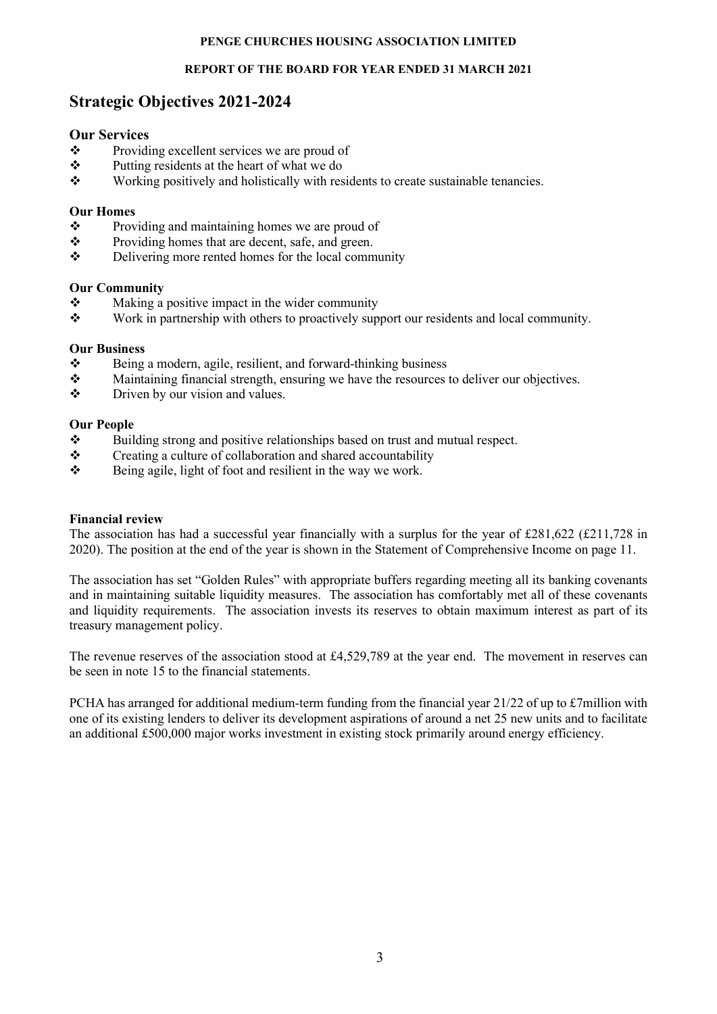### REPORT OF THE BOARD FOR YEAR ENDED 31 MARCH 2021

# Strategic Objectives 2021-2024

### Our Services

- \* Providing excellent services we are proud of
- A Putting residents at the heart of what we do<br>
Working positively and holistically with res
- Working positively and holistically with residents to create sustainable tenancies.

### Our Homes

- ❖ Providing and maintaining homes we are proud of
- \* Providing homes that are decent, safe, and green.
- $\triangle$  Delivering more rented homes for the local community

### Our Community

- $\bullet$  Making a positive impact in the wider community<br>
Work in partnership with others to proactively sup
- Work in partnership with others to proactively support our residents and local community.

### Our Business

- $\mathbf{\hat{P}}$  Being a modern, agile, resilient, and forward-thinking business
- $\bullet$  Maintaining financial strength, ensuring we have the resources to deliver our objectives.
- Driven by our vision and values.

### Our People

- $\bullet$  Building strong and positive relationships based on trust and mutual respect.<br>
Creating a culture of collaboration and shared accountability
- Creating a culture of collaboration and shared accountability
- $\mathbf{\hat{P}}$  Being agile, light of foot and resilient in the way we work.

### Financial review

The association has had a successful year financially with a surplus for the year of £281,622 (£211,728 in 2020). The position at the end of the year is shown in the Statement of Comprehensive Income on page 11.

The association has set "Golden Rules" with appropriate buffers regarding meeting all its banking covenants and in maintaining suitable liquidity measures. The association has comfortably met all of these covenants and liquidity requirements. The association invests its reserves to obtain maximum interest as part of its treasury management policy.

The revenue reserves of the association stood at £4,529,789 at the year end. The movement in reserves can be seen in note 15 to the financial statements.

PCHA has arranged for additional medium-term funding from the financial year 21/22 of up to £7million with one of its existing lenders to deliver its development aspirations of around a net 25 new units and to facilitate an additional £500,000 major works investment in existing stock primarily around energy efficiency.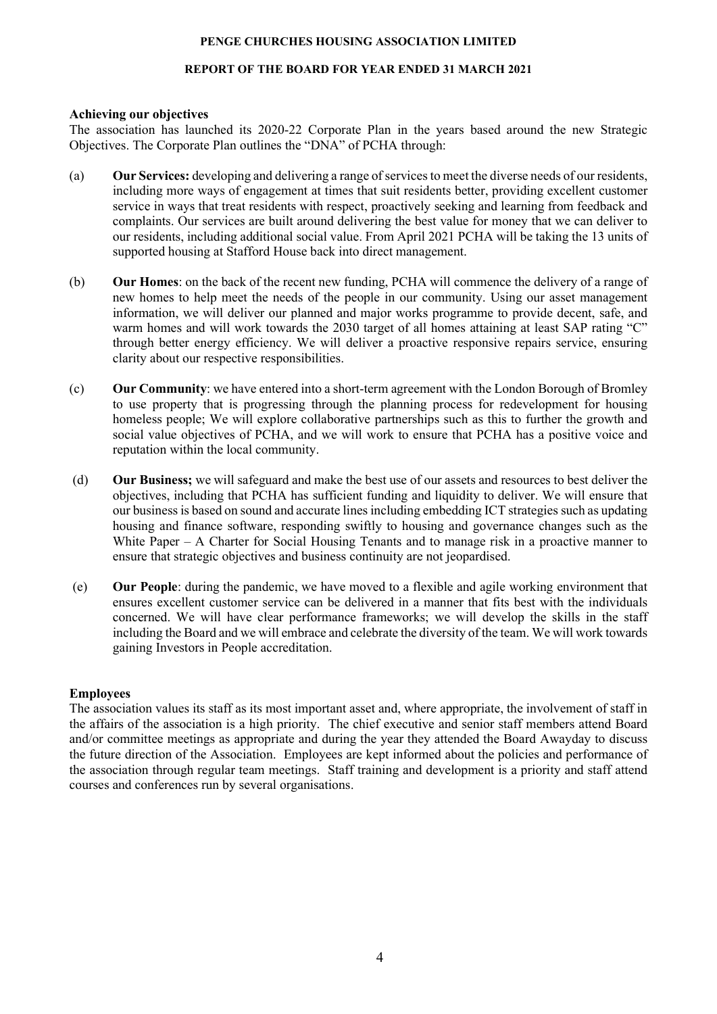### REPORT OF THE BOARD FOR YEAR ENDED 31 MARCH 2021

### Achieving our objectives

The association has launched its 2020-22 Corporate Plan in the years based around the new Strategic Objectives. The Corporate Plan outlines the "DNA" of PCHA through:

- (a) Our Services: developing and delivering a range of services to meet the diverse needs of our residents, including more ways of engagement at times that suit residents better, providing excellent customer service in ways that treat residents with respect, proactively seeking and learning from feedback and complaints. Our services are built around delivering the best value for money that we can deliver to our residents, including additional social value. From April 2021 PCHA will be taking the 13 units of supported housing at Stafford House back into direct management.
- (b) Our Homes: on the back of the recent new funding, PCHA will commence the delivery of a range of new homes to help meet the needs of the people in our community. Using our asset management information, we will deliver our planned and major works programme to provide decent, safe, and warm homes and will work towards the 2030 target of all homes attaining at least SAP rating "C" through better energy efficiency. We will deliver a proactive responsive repairs service, ensuring clarity about our respective responsibilities.
- (c) Our Community: we have entered into a short-term agreement with the London Borough of Bromley to use property that is progressing through the planning process for redevelopment for housing homeless people; We will explore collaborative partnerships such as this to further the growth and social value objectives of PCHA, and we will work to ensure that PCHA has a positive voice and reputation within the local community.
- (d) Our Business; we will safeguard and make the best use of our assets and resources to best deliver the objectives, including that PCHA has sufficient funding and liquidity to deliver. We will ensure that our business is based on sound and accurate lines including embedding ICT strategies such as updating housing and finance software, responding swiftly to housing and governance changes such as the White Paper – A Charter for Social Housing Tenants and to manage risk in a proactive manner to ensure that strategic objectives and business continuity are not jeopardised.
- (e) Our People: during the pandemic, we have moved to a flexible and agile working environment that ensures excellent customer service can be delivered in a manner that fits best with the individuals concerned. We will have clear performance frameworks; we will develop the skills in the staff including the Board and we will embrace and celebrate the diversity of the team. We will work towards gaining Investors in People accreditation.

### Employees

The association values its staff as its most important asset and, where appropriate, the involvement of staff in the affairs of the association is a high priority. The chief executive and senior staff members attend Board and/or committee meetings as appropriate and during the year they attended the Board Awayday to discuss the future direction of the Association. Employees are kept informed about the policies and performance of the association through regular team meetings. Staff training and development is a priority and staff attend courses and conferences run by several organisations.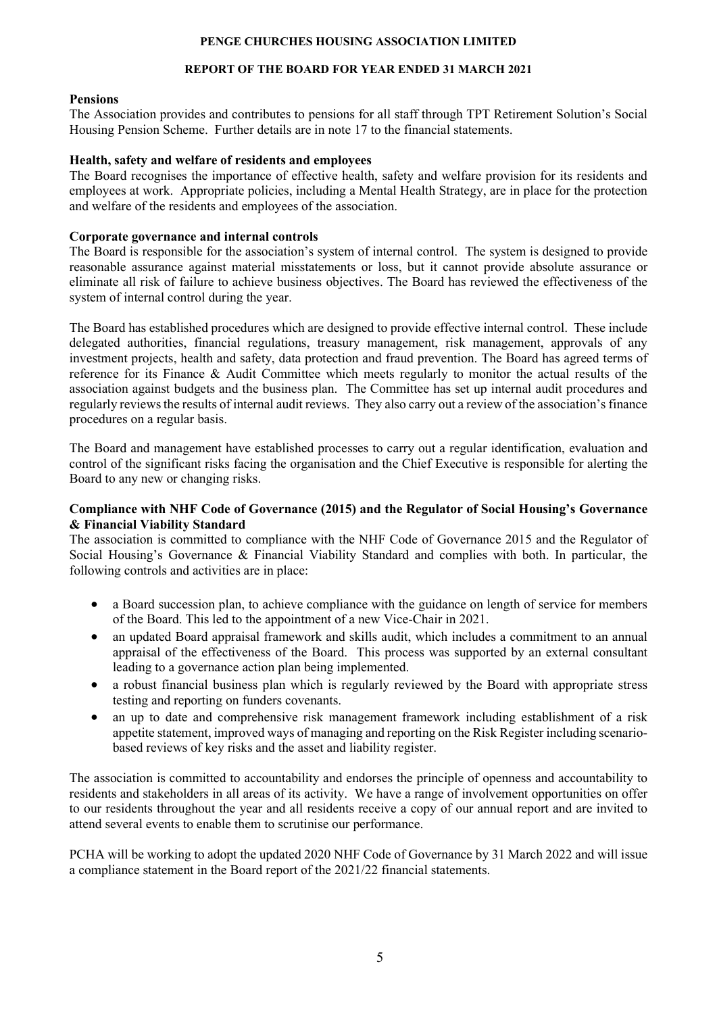### REPORT OF THE BOARD FOR YEAR ENDED 31 MARCH 2021

### Pensions

The Association provides and contributes to pensions for all staff through TPT Retirement Solution's Social Housing Pension Scheme. Further details are in note 17 to the financial statements.

### Health, safety and welfare of residents and employees

The Board recognises the importance of effective health, safety and welfare provision for its residents and employees at work. Appropriate policies, including a Mental Health Strategy, are in place for the protection and welfare of the residents and employees of the association.

### Corporate governance and internal controls

The Board is responsible for the association's system of internal control. The system is designed to provide reasonable assurance against material misstatements or loss, but it cannot provide absolute assurance or eliminate all risk of failure to achieve business objectives. The Board has reviewed the effectiveness of the system of internal control during the year.

The Board has established procedures which are designed to provide effective internal control. These include delegated authorities, financial regulations, treasury management, risk management, approvals of any investment projects, health and safety, data protection and fraud prevention. The Board has agreed terms of reference for its Finance & Audit Committee which meets regularly to monitor the actual results of the association against budgets and the business plan. The Committee has set up internal audit procedures and regularly reviews the results of internal audit reviews. They also carry out a review of the association's finance procedures on a regular basis.

The Board and management have established processes to carry out a regular identification, evaluation and control of the significant risks facing the organisation and the Chief Executive is responsible for alerting the Board to any new or changing risks.

### Compliance with NHF Code of Governance (2015) and the Regulator of Social Housing's Governance & Financial Viability Standard

The association is committed to compliance with the NHF Code of Governance 2015 and the Regulator of Social Housing's Governance & Financial Viability Standard and complies with both. In particular, the following controls and activities are in place:

- a Board succession plan, to achieve compliance with the guidance on length of service for members of the Board. This led to the appointment of a new Vice-Chair in 2021.
- an updated Board appraisal framework and skills audit, which includes a commitment to an annual appraisal of the effectiveness of the Board. This process was supported by an external consultant leading to a governance action plan being implemented.
- a robust financial business plan which is regularly reviewed by the Board with appropriate stress testing and reporting on funders covenants.
- an up to date and comprehensive risk management framework including establishment of a risk appetite statement, improved ways of managing and reporting on the Risk Register including scenariobased reviews of key risks and the asset and liability register.

The association is committed to accountability and endorses the principle of openness and accountability to residents and stakeholders in all areas of its activity. We have a range of involvement opportunities on offer to our residents throughout the year and all residents receive a copy of our annual report and are invited to attend several events to enable them to scrutinise our performance.

PCHA will be working to adopt the updated 2020 NHF Code of Governance by 31 March 2022 and will issue a compliance statement in the Board report of the 2021/22 financial statements.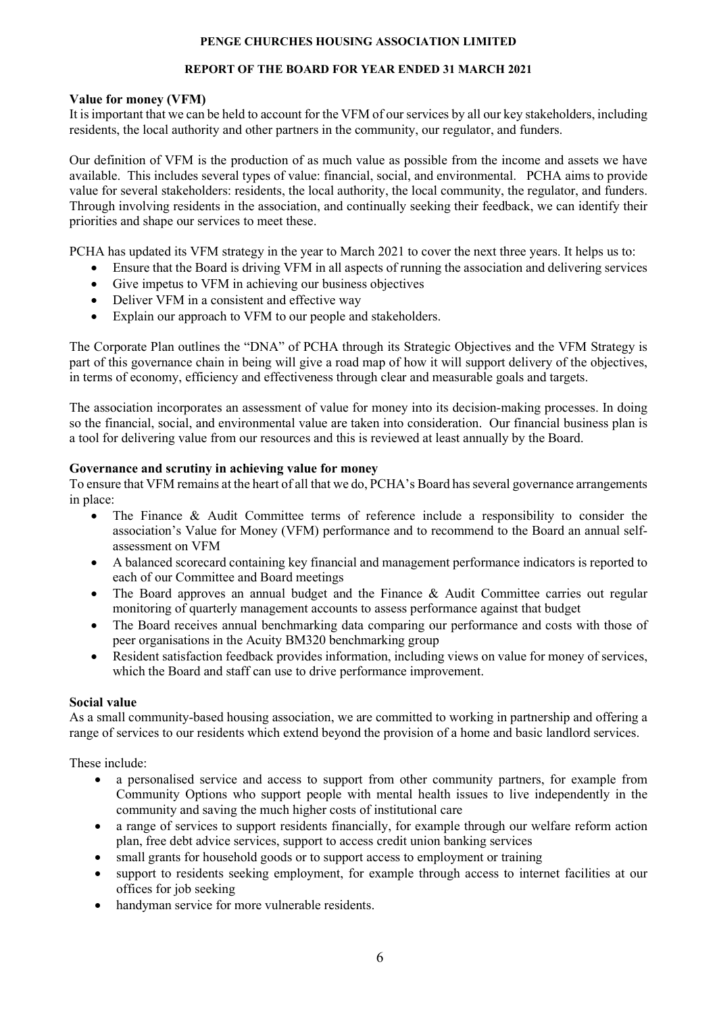# REPORT OF THE BOARD FOR YEAR ENDED 31 MARCH 2021

### Value for money (VFM)

It is important that we can be held to account for the VFM of our services by all our key stakeholders, including residents, the local authority and other partners in the community, our regulator, and funders.

Our definition of VFM is the production of as much value as possible from the income and assets we have available. This includes several types of value: financial, social, and environmental. PCHA aims to provide value for several stakeholders: residents, the local authority, the local community, the regulator, and funders. Through involving residents in the association, and continually seeking their feedback, we can identify their priorities and shape our services to meet these.

PCHA has updated its VFM strategy in the year to March 2021 to cover the next three years. It helps us to:

- Ensure that the Board is driving VFM in all aspects of running the association and delivering services
- Give impetus to VFM in achieving our business objectives
- Deliver VFM in a consistent and effective way
- Explain our approach to VFM to our people and stakeholders.

The Corporate Plan outlines the "DNA" of PCHA through its Strategic Objectives and the VFM Strategy is part of this governance chain in being will give a road map of how it will support delivery of the objectives, in terms of economy, efficiency and effectiveness through clear and measurable goals and targets.

The association incorporates an assessment of value for money into its decision-making processes. In doing so the financial, social, and environmental value are taken into consideration. Our financial business plan is a tool for delivering value from our resources and this is reviewed at least annually by the Board.

### Governance and scrutiny in achieving value for money

To ensure that VFM remains at the heart of all that we do, PCHA's Board has several governance arrangements in place:

- The Finance & Audit Committee terms of reference include a responsibility to consider the association's Value for Money (VFM) performance and to recommend to the Board an annual selfassessment on VFM
- A balanced scorecard containing key financial and management performance indicators is reported to each of our Committee and Board meetings
- The Board approves an annual budget and the Finance & Audit Committee carries out regular monitoring of quarterly management accounts to assess performance against that budget
- The Board receives annual benchmarking data comparing our performance and costs with those of peer organisations in the Acuity BM320 benchmarking group
- Resident satisfaction feedback provides information, including views on value for money of services, which the Board and staff can use to drive performance improvement.

### Social value

As a small community-based housing association, we are committed to working in partnership and offering a range of services to our residents which extend beyond the provision of a home and basic landlord services.

These include:

- a personalised service and access to support from other community partners, for example from Community Options who support people with mental health issues to live independently in the community and saving the much higher costs of institutional care
- a range of services to support residents financially, for example through our welfare reform action plan, free debt advice services, support to access credit union banking services
- small grants for household goods or to support access to employment or training
- support to residents seeking employment, for example through access to internet facilities at our offices for job seeking
- handyman service for more vulnerable residents.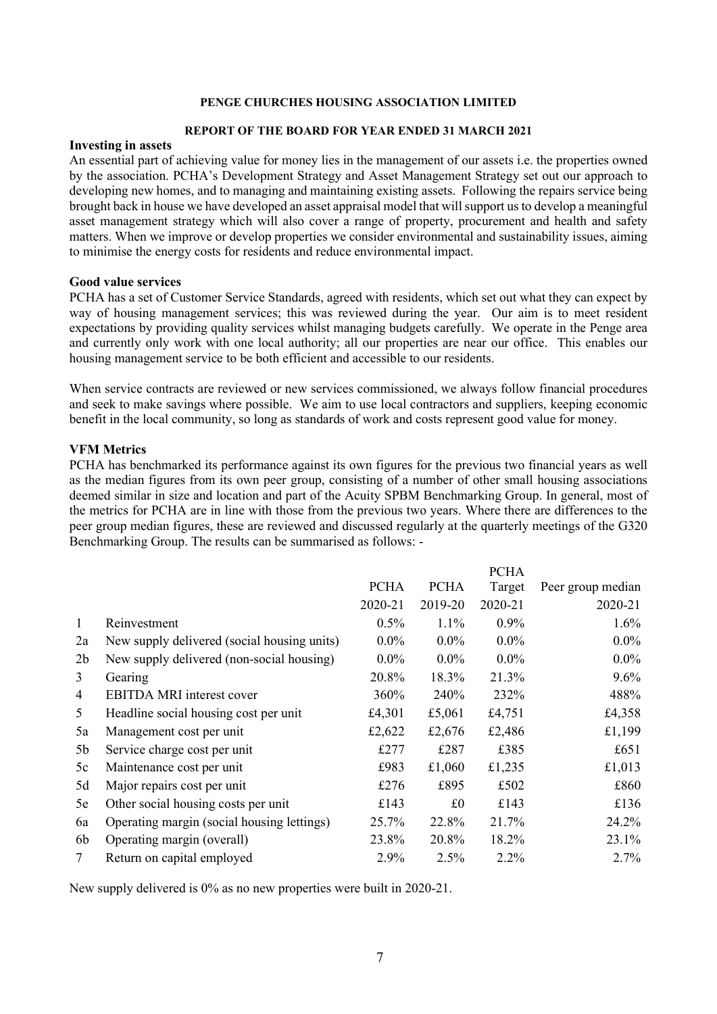#### REPORT OF THE BOARD FOR YEAR ENDED 31 MARCH 2021

### Investing in assets

An essential part of achieving value for money lies in the management of our assets i.e. the properties owned by the association. PCHA's Development Strategy and Asset Management Strategy set out our approach to developing new homes, and to managing and maintaining existing assets. Following the repairs service being brought back in house we have developed an asset appraisal model that will support us to develop a meaningful asset management strategy which will also cover a range of property, procurement and health and safety matters. When we improve or develop properties we consider environmental and sustainability issues, aiming to minimise the energy costs for residents and reduce environmental impact.

#### Good value services

PCHA has a set of Customer Service Standards, agreed with residents, which set out what they can expect by way of housing management services; this was reviewed during the year. Our aim is to meet resident expectations by providing quality services whilst managing budgets carefully. We operate in the Penge area and currently only work with one local authority; all our properties are near our office. This enables our housing management service to be both efficient and accessible to our residents.

When service contracts are reviewed or new services commissioned, we always follow financial procedures and seek to make savings where possible. We aim to use local contractors and suppliers, keeping economic benefit in the local community, so long as standards of work and costs represent good value for money.

#### VFM Metrics

PCHA has benchmarked its performance against its own figures for the previous two financial years as well as the median figures from its own peer group, consisting of a number of other small housing associations deemed similar in size and location and part of the Acuity SPBM Benchmarking Group. In general, most of the metrics for PCHA are in line with those from the previous two years. Where there are differences to the peer group median figures, these are reviewed and discussed regularly at the quarterly meetings of the G320 Benchmarking Group. The results can be summarised as follows: -

|                |                                             |             |             | <b>PCHA</b> |                   |
|----------------|---------------------------------------------|-------------|-------------|-------------|-------------------|
|                |                                             | <b>PCHA</b> | <b>PCHA</b> | Target      | Peer group median |
|                |                                             | 2020-21     | 2019-20     | 2020-21     | 2020-21           |
| $\mathbf{1}$   | Reinvestment                                | $0.5\%$     | 1.1%        | $0.9\%$     | 1.6%              |
| 2a             | New supply delivered (social housing units) | $0.0\%$     | $0.0\%$     | $0.0\%$     | $0.0\%$           |
| 2 <sub>b</sub> | New supply delivered (non-social housing)   | $0.0\%$     | $0.0\%$     | $0.0\%$     | $0.0\%$           |
| 3              | Gearing                                     | 20.8%       | 18.3%       | 21.3%       | 9.6%              |
| 4              | <b>EBITDA MRI</b> interest cover            | 360%        | 240%        | 232%        | 488%              |
| 5              | Headline social housing cost per unit       | £4,301      | £5,061      | £4,751      | £4,358            |
| 5a             | Management cost per unit                    | £2,622      | £2,676      | £2,486      | £1,199            |
| 5b             | Service charge cost per unit                | £277        | £287        | £385        | £651              |
| 5c             | Maintenance cost per unit                   | £983        | £1,060      | £1,235      | £1,013            |
| 5d             | Major repairs cost per unit                 | £276        | £895        | £502        | £860              |
| 5e             | Other social housing costs per unit         | £143        | £0          | £143        | £136              |
| 6a             | Operating margin (social housing lettings)  | 25.7%       | 22.8%       | 21.7%       | 24.2%             |
| 6b             | Operating margin (overall)                  | 23.8%       | 20.8%       | 18.2%       | 23.1%             |
| 7              | Return on capital employed                  | 2.9%        | 2.5%        | 2.2%        | $2.7\%$           |

New supply delivered is 0% as no new properties were built in 2020-21.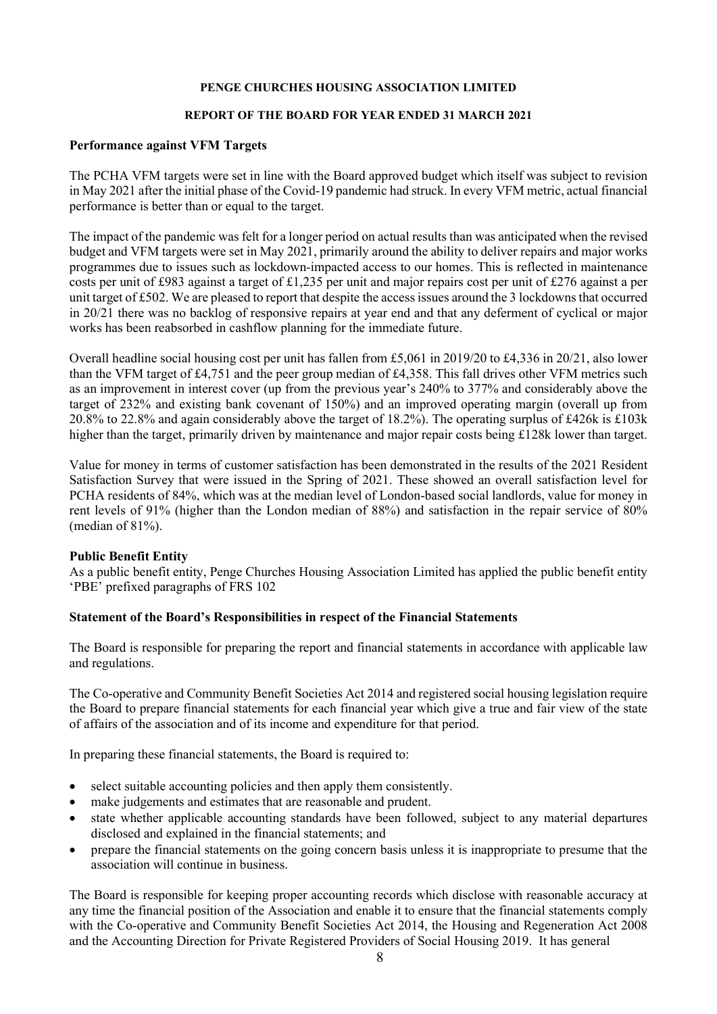#### REPORT OF THE BOARD FOR YEAR ENDED 31 MARCH 2021

### Performance against VFM Targets

The PCHA VFM targets were set in line with the Board approved budget which itself was subject to revision in May 2021 after the initial phase of the Covid-19 pandemic had struck. In every VFM metric, actual financial performance is better than or equal to the target.

The impact of the pandemic was felt for a longer period on actual results than was anticipated when the revised budget and VFM targets were set in May 2021, primarily around the ability to deliver repairs and major works programmes due to issues such as lockdown-impacted access to our homes. This is reflected in maintenance costs per unit of £983 against a target of £1,235 per unit and major repairs cost per unit of £276 against a per unit target of £502. We are pleased to report that despite the access issues around the 3 lockdowns that occurred in 20/21 there was no backlog of responsive repairs at year end and that any deferment of cyclical or major works has been reabsorbed in cashflow planning for the immediate future.

Overall headline social housing cost per unit has fallen from £5,061 in 2019/20 to £4,336 in 20/21, also lower than the VFM target of £4,751 and the peer group median of £4,358. This fall drives other VFM metrics such as an improvement in interest cover (up from the previous year's 240% to 377% and considerably above the target of 232% and existing bank covenant of 150%) and an improved operating margin (overall up from 20.8% to 22.8% and again considerably above the target of 18.2%). The operating surplus of £426k is £103k higher than the target, primarily driven by maintenance and major repair costs being £128k lower than target.

Value for money in terms of customer satisfaction has been demonstrated in the results of the 2021 Resident Satisfaction Survey that were issued in the Spring of 2021. These showed an overall satisfaction level for PCHA residents of 84%, which was at the median level of London-based social landlords, value for money in rent levels of 91% (higher than the London median of 88%) and satisfaction in the repair service of 80% (median of 81%).

### Public Benefit Entity

As a public benefit entity, Penge Churches Housing Association Limited has applied the public benefit entity 'PBE' prefixed paragraphs of FRS 102

### Statement of the Board's Responsibilities in respect of the Financial Statements

The Board is responsible for preparing the report and financial statements in accordance with applicable law and regulations.

The Co-operative and Community Benefit Societies Act 2014 and registered social housing legislation require the Board to prepare financial statements for each financial year which give a true and fair view of the state of affairs of the association and of its income and expenditure for that period.

In preparing these financial statements, the Board is required to:

- select suitable accounting policies and then apply them consistently.
- make judgements and estimates that are reasonable and prudent.
- state whether applicable accounting standards have been followed, subject to any material departures disclosed and explained in the financial statements; and
- prepare the financial statements on the going concern basis unless it is inappropriate to presume that the association will continue in business.

The Board is responsible for keeping proper accounting records which disclose with reasonable accuracy at any time the financial position of the Association and enable it to ensure that the financial statements comply with the Co-operative and Community Benefit Societies Act 2014, the Housing and Regeneration Act 2008 and the Accounting Direction for Private Registered Providers of Social Housing 2019. It has general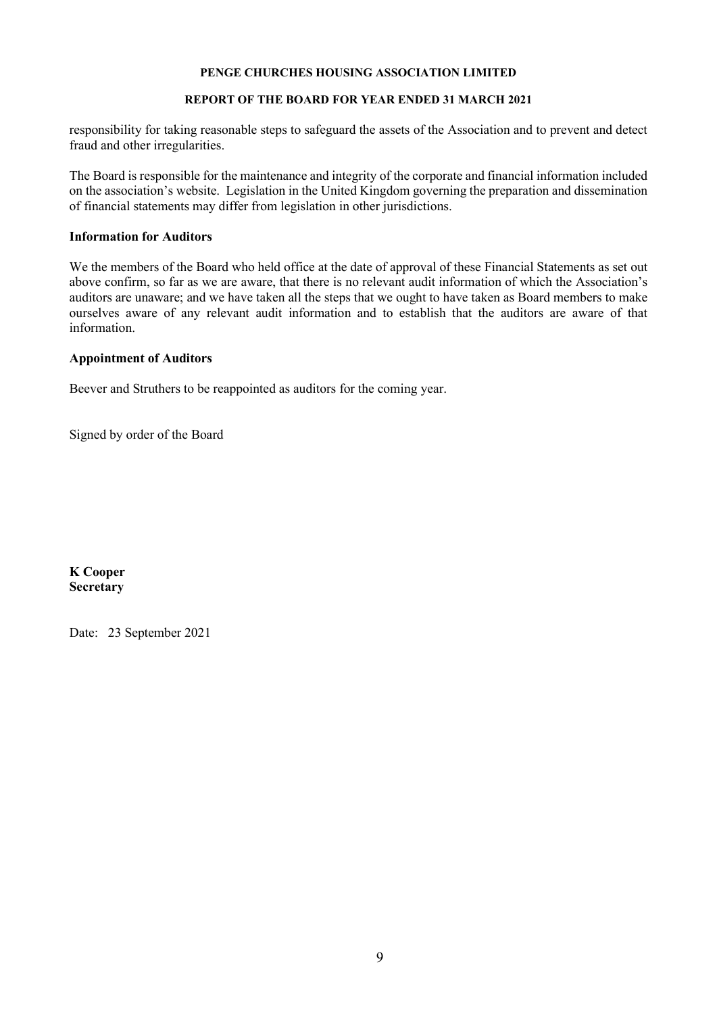### REPORT OF THE BOARD FOR YEAR ENDED 31 MARCH 2021

responsibility for taking reasonable steps to safeguard the assets of the Association and to prevent and detect fraud and other irregularities.

The Board is responsible for the maintenance and integrity of the corporate and financial information included on the association's website. Legislation in the United Kingdom governing the preparation and dissemination of financial statements may differ from legislation in other jurisdictions.

### Information for Auditors

We the members of the Board who held office at the date of approval of these Financial Statements as set out above confirm, so far as we are aware, that there is no relevant audit information of which the Association's auditors are unaware; and we have taken all the steps that we ought to have taken as Board members to make ourselves aware of any relevant audit information and to establish that the auditors are aware of that information.

#### Appointment of Auditors

Beever and Struthers to be reappointed as auditors for the coming year.

Signed by order of the Board

K Cooper **Secretary** 

Date: 23 September 2021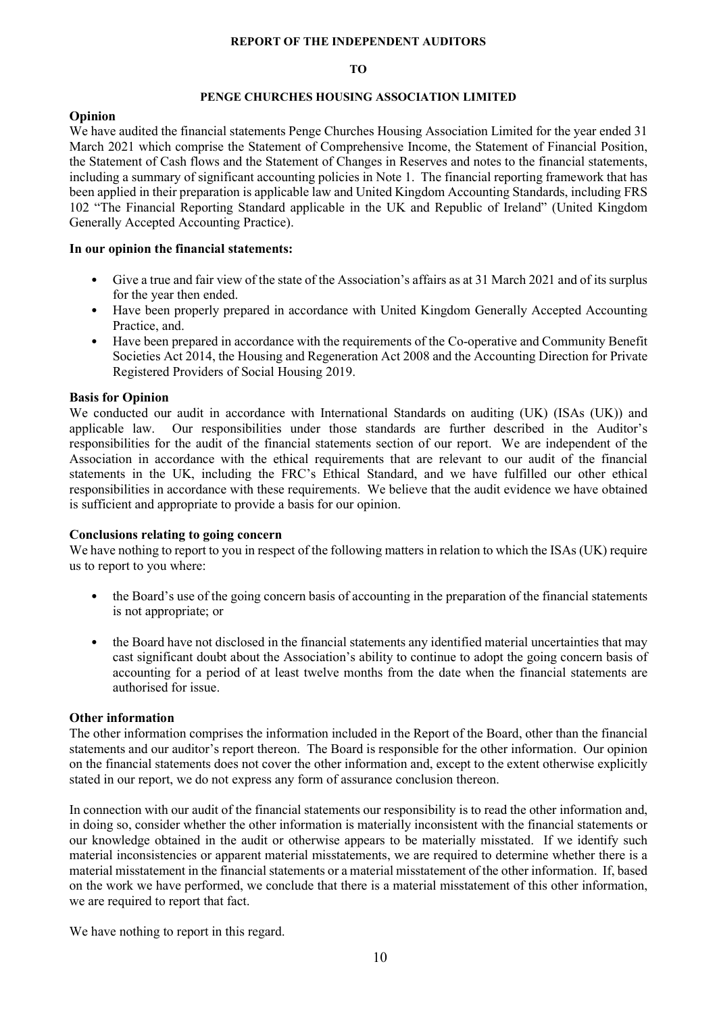#### REPORT OF THE INDEPENDENT AUDITORS

#### TO

#### PENGE CHURCHES HOUSING ASSOCIATION LIMITED

#### Opinion

We have audited the financial statements Penge Churches Housing Association Limited for the year ended 31 March 2021 which comprise the Statement of Comprehensive Income, the Statement of Financial Position, the Statement of Cash flows and the Statement of Changes in Reserves and notes to the financial statements, including a summary of significant accounting policies in Note 1. The financial reporting framework that has been applied in their preparation is applicable law and United Kingdom Accounting Standards, including FRS 102 "The Financial Reporting Standard applicable in the UK and Republic of Ireland" (United Kingdom Generally Accepted Accounting Practice).

#### In our opinion the financial statements:

- Give a true and fair view of the state of the Association's affairs as at 31 March 2021 and of its surplus for the year then ended.
- Have been properly prepared in accordance with United Kingdom Generally Accepted Accounting Practice, and.
- Have been prepared in accordance with the requirements of the Co-operative and Community Benefit Societies Act 2014, the Housing and Regeneration Act 2008 and the Accounting Direction for Private Registered Providers of Social Housing 2019.

#### Basis for Opinion

We conducted our audit in accordance with International Standards on auditing (UK) (ISAs (UK)) and applicable law. Our responsibilities under those standards are further described in the Auditor's responsibilities for the audit of the financial statements section of our report. We are independent of the Association in accordance with the ethical requirements that are relevant to our audit of the financial statements in the UK, including the FRC's Ethical Standard, and we have fulfilled our other ethical responsibilities in accordance with these requirements. We believe that the audit evidence we have obtained is sufficient and appropriate to provide a basis for our opinion.

#### Conclusions relating to going concern

We have nothing to report to you in respect of the following matters in relation to which the ISAs (UK) require us to report to you where:

- the Board's use of the going concern basis of accounting in the preparation of the financial statements is not appropriate; or
- the Board have not disclosed in the financial statements any identified material uncertainties that may cast significant doubt about the Association's ability to continue to adopt the going concern basis of accounting for a period of at least twelve months from the date when the financial statements are authorised for issue.

#### Other information

The other information comprises the information included in the Report of the Board, other than the financial statements and our auditor's report thereon. The Board is responsible for the other information. Our opinion on the financial statements does not cover the other information and, except to the extent otherwise explicitly stated in our report, we do not express any form of assurance conclusion thereon.

In connection with our audit of the financial statements our responsibility is to read the other information and, in doing so, consider whether the other information is materially inconsistent with the financial statements or our knowledge obtained in the audit or otherwise appears to be materially misstated. If we identify such material inconsistencies or apparent material misstatements, we are required to determine whether there is a material misstatement in the financial statements or a material misstatement of the other information. If, based on the work we have performed, we conclude that there is a material misstatement of this other information, we are required to report that fact.

We have nothing to report in this regard.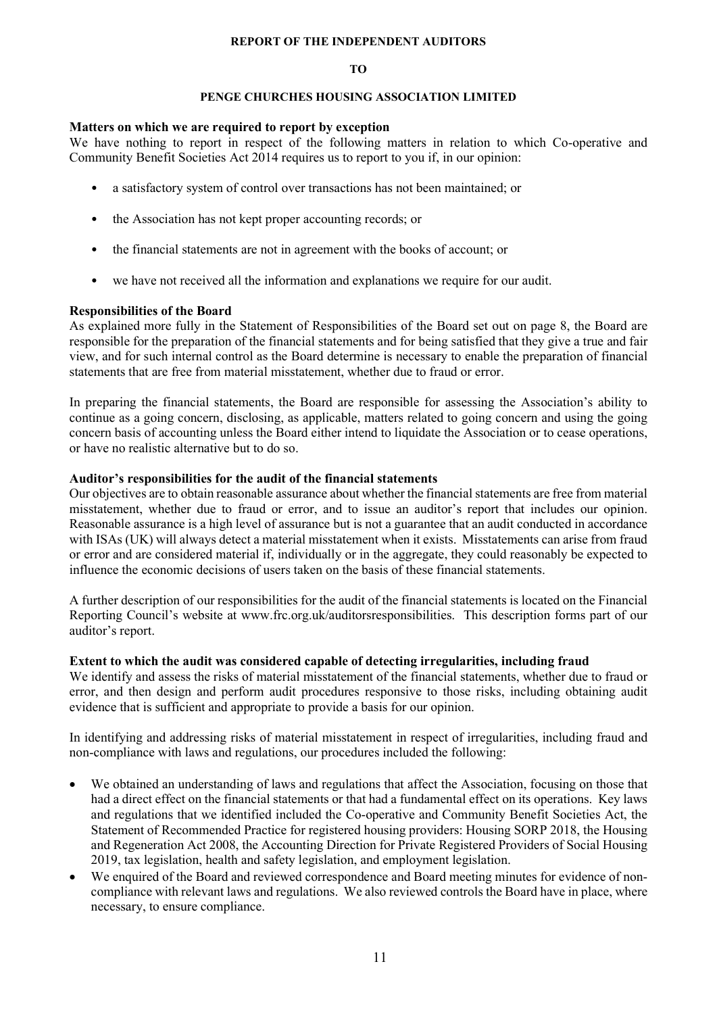#### REPORT OF THE INDEPENDENT AUDITORS

#### TO

#### PENGE CHURCHES HOUSING ASSOCIATION LIMITED

### Matters on which we are required to report by exception

We have nothing to report in respect of the following matters in relation to which Co-operative and Community Benefit Societies Act 2014 requires us to report to you if, in our opinion:

- a satisfactory system of control over transactions has not been maintained; or
- the Association has not kept proper accounting records; or
- the financial statements are not in agreement with the books of account; or
- we have not received all the information and explanations we require for our audit.

### Responsibilities of the Board

As explained more fully in the Statement of Responsibilities of the Board set out on page 8, the Board are responsible for the preparation of the financial statements and for being satisfied that they give a true and fair view, and for such internal control as the Board determine is necessary to enable the preparation of financial statements that are free from material misstatement, whether due to fraud or error.

In preparing the financial statements, the Board are responsible for assessing the Association's ability to continue as a going concern, disclosing, as applicable, matters related to going concern and using the going concern basis of accounting unless the Board either intend to liquidate the Association or to cease operations, or have no realistic alternative but to do so.

### Auditor's responsibilities for the audit of the financial statements

Our objectives are to obtain reasonable assurance about whether the financial statements are free from material misstatement, whether due to fraud or error, and to issue an auditor's report that includes our opinion. Reasonable assurance is a high level of assurance but is not a guarantee that an audit conducted in accordance with ISAs (UK) will always detect a material misstatement when it exists. Misstatements can arise from fraud or error and are considered material if, individually or in the aggregate, they could reasonably be expected to influence the economic decisions of users taken on the basis of these financial statements.

A further description of our responsibilities for the audit of the financial statements is located on the Financial Reporting Council's website at www.frc.org.uk/auditorsresponsibilities. This description forms part of our auditor's report.

### Extent to which the audit was considered capable of detecting irregularities, including fraud

We identify and assess the risks of material misstatement of the financial statements, whether due to fraud or error, and then design and perform audit procedures responsive to those risks, including obtaining audit evidence that is sufficient and appropriate to provide a basis for our opinion.

In identifying and addressing risks of material misstatement in respect of irregularities, including fraud and non-compliance with laws and regulations, our procedures included the following:

- We obtained an understanding of laws and regulations that affect the Association, focusing on those that had a direct effect on the financial statements or that had a fundamental effect on its operations. Key laws and regulations that we identified included the Co-operative and Community Benefit Societies Act, the Statement of Recommended Practice for registered housing providers: Housing SORP 2018, the Housing and Regeneration Act 2008, the Accounting Direction for Private Registered Providers of Social Housing 2019, tax legislation, health and safety legislation, and employment legislation.
- We enquired of the Board and reviewed correspondence and Board meeting minutes for evidence of noncompliance with relevant laws and regulations. We also reviewed controls the Board have in place, where necessary, to ensure compliance.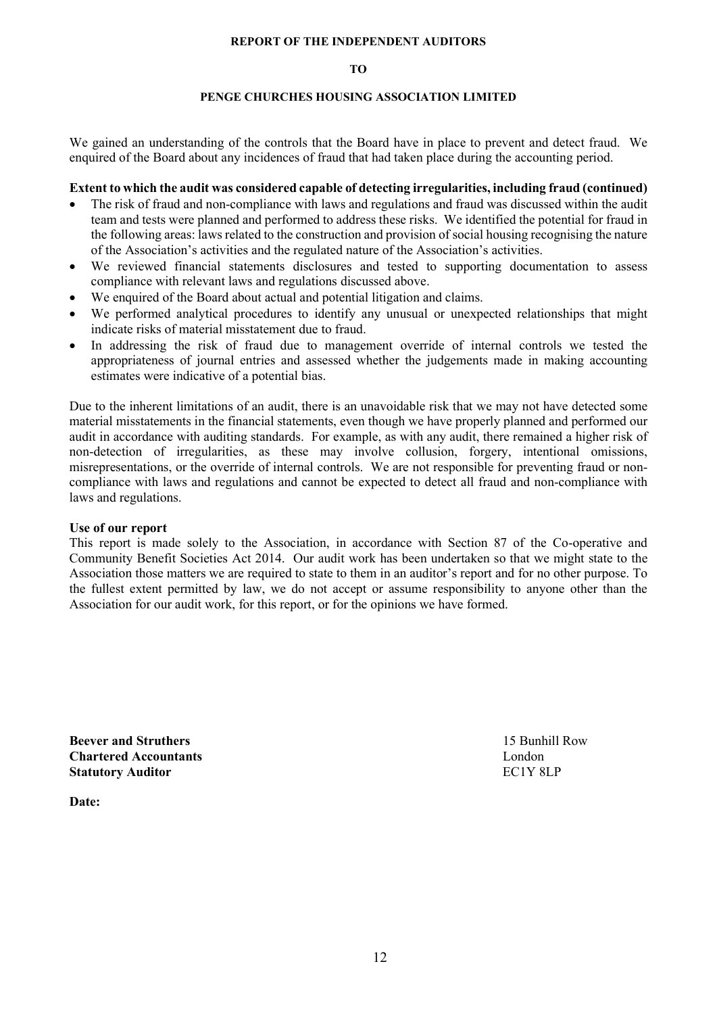#### REPORT OF THE INDEPENDENT AUDITORS

#### TO

### PENGE CHURCHES HOUSING ASSOCIATION LIMITED

We gained an understanding of the controls that the Board have in place to prevent and detect fraud. We enquired of the Board about any incidences of fraud that had taken place during the accounting period.

#### Extent to which the audit was considered capable of detecting irregularities, including fraud (continued)

- The risk of fraud and non-compliance with laws and regulations and fraud was discussed within the audit team and tests were planned and performed to address these risks. We identified the potential for fraud in the following areas: laws related to the construction and provision of social housing recognising the nature of the Association's activities and the regulated nature of the Association's activities.
- We reviewed financial statements disclosures and tested to supporting documentation to assess compliance with relevant laws and regulations discussed above.
- We enquired of the Board about actual and potential litigation and claims.
- We performed analytical procedures to identify any unusual or unexpected relationships that might indicate risks of material misstatement due to fraud.
- In addressing the risk of fraud due to management override of internal controls we tested the appropriateness of journal entries and assessed whether the judgements made in making accounting estimates were indicative of a potential bias.

Due to the inherent limitations of an audit, there is an unavoidable risk that we may not have detected some material misstatements in the financial statements, even though we have properly planned and performed our audit in accordance with auditing standards. For example, as with any audit, there remained a higher risk of non-detection of irregularities, as these may involve collusion, forgery, intentional omissions, misrepresentations, or the override of internal controls. We are not responsible for preventing fraud or noncompliance with laws and regulations and cannot be expected to detect all fraud and non-compliance with laws and regulations.

#### Use of our report

This report is made solely to the Association, in accordance with Section 87 of the Co-operative and Community Benefit Societies Act 2014. Our audit work has been undertaken so that we might state to the Association those matters we are required to state to them in an auditor's report and for no other purpose. To the fullest extent permitted by law, we do not accept or assume responsibility to anyone other than the Association for our audit work, for this report, or for the opinions we have formed.

Beever and Struthers 15 Bunhill Row Chartered Accountants London Statutory Auditor EC1Y 8LP

Date: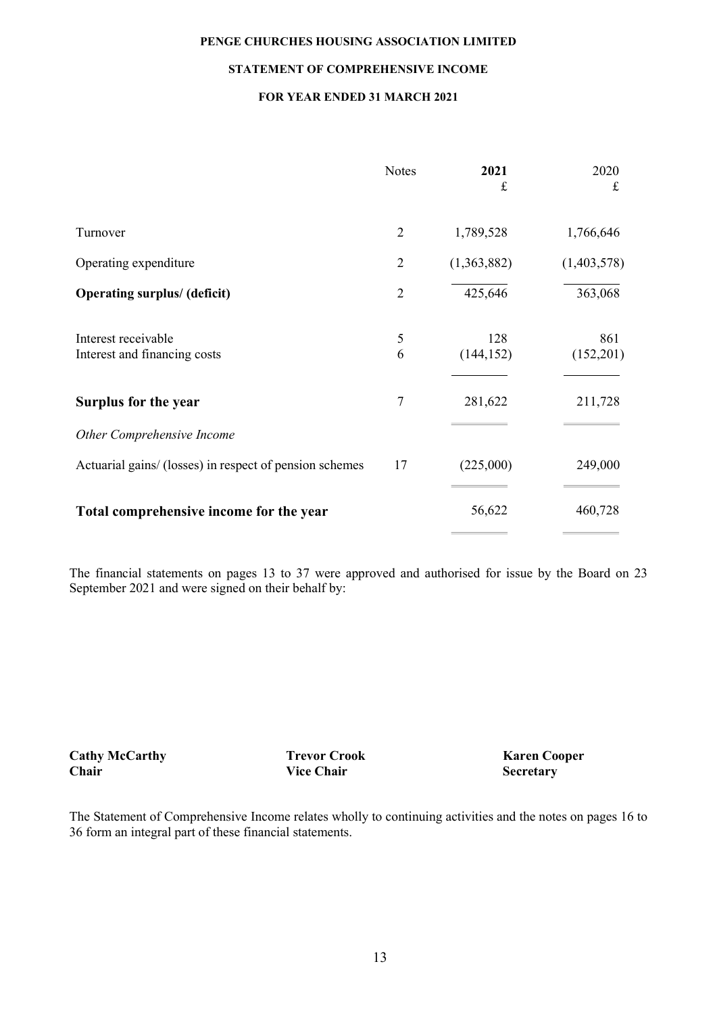#### STATEMENT OF COMPREHENSIVE INCOME

### FOR YEAR ENDED 31 MARCH 2021

|                                                         | <b>Notes</b>   | 2021<br>£         | 2020<br>£        |
|---------------------------------------------------------|----------------|-------------------|------------------|
| Turnover                                                | $\overline{2}$ | 1,789,528         | 1,766,646        |
| Operating expenditure                                   | $\overline{2}$ | (1,363,882)       | (1,403,578)      |
| <b>Operating surplus/ (deficit)</b>                     | $\overline{2}$ | 425,646           | 363,068          |
| Interest receivable<br>Interest and financing costs     | 5<br>6         | 128<br>(144, 152) | 861<br>(152,201) |
| Surplus for the year                                    | $\overline{7}$ | 281,622           | 211,728          |
| Other Comprehensive Income                              |                |                   |                  |
| Actuarial gains/ (losses) in respect of pension schemes | 17             | (225,000)         | 249,000          |
| Total comprehensive income for the year                 |                | 56,622            | 460,728          |
|                                                         |                |                   |                  |

The financial statements on pages 13 to 37 were approved and authorised for issue by the Board on 23 September 2021 and were signed on their behalf by:

Cathy McCarthy Trevor Crook **Karen Cooper**<br>
Chair Vice Chair Secretary

Vice Chair Secretary

The Statement of Comprehensive Income relates wholly to continuing activities and the notes on pages 16 to 36 form an integral part of these financial statements.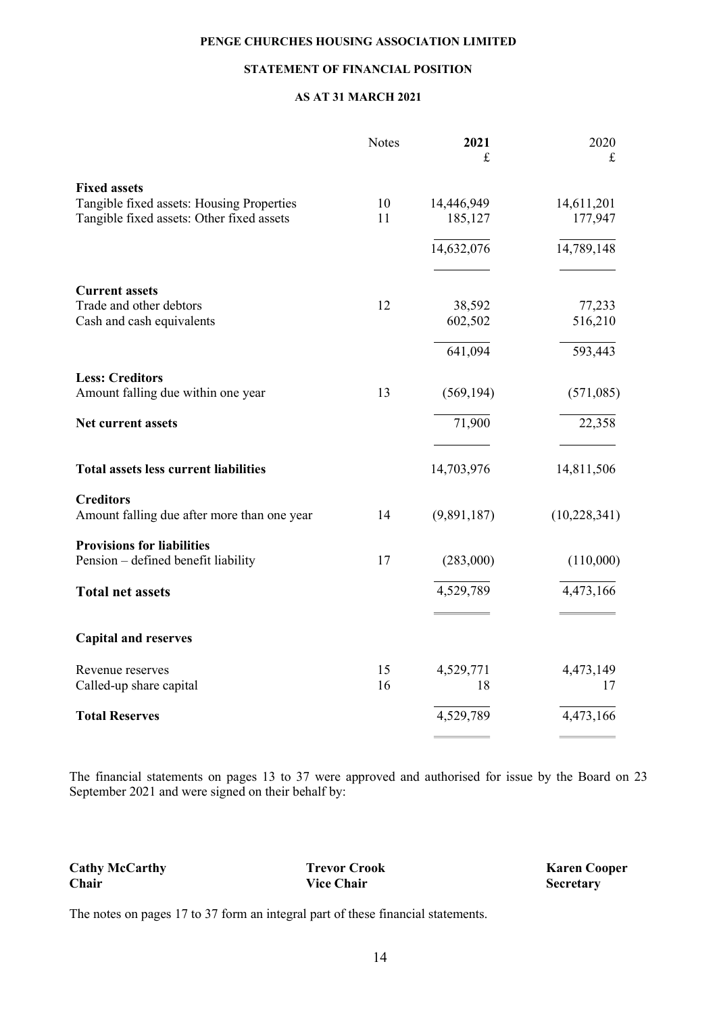### STATEMENT OF FINANCIAL POSITION

#### AS AT 31 MARCH 2021

|                                              | <b>Notes</b> | 2021<br>$\mathbf f$ | 2020<br>$\mathbf f$ |
|----------------------------------------------|--------------|---------------------|---------------------|
| <b>Fixed assets</b>                          |              |                     |                     |
| Tangible fixed assets: Housing Properties    | 10           | 14,446,949          | 14,611,201          |
| Tangible fixed assets: Other fixed assets    | 11           | 185,127             | 177,947             |
|                                              |              | 14,632,076          | 14,789,148          |
| <b>Current assets</b>                        |              |                     |                     |
| Trade and other debtors                      | 12           | 38,592              | 77,233              |
| Cash and cash equivalents                    |              | 602,502             | 516,210             |
|                                              |              | 641,094             | 593,443             |
| <b>Less: Creditors</b>                       |              |                     |                     |
| Amount falling due within one year           | 13           | (569, 194)          | (571,085)           |
| Net current assets                           |              | 71,900              | 22,358              |
| <b>Total assets less current liabilities</b> |              | 14,703,976          | 14,811,506          |
| <b>Creditors</b>                             |              |                     |                     |
| Amount falling due after more than one year  | 14           | (9,891,187)         | (10, 228, 341)      |
| <b>Provisions for liabilities</b>            |              |                     |                     |
| Pension - defined benefit liability          | 17           | (283,000)           | (110,000)           |
| <b>Total net assets</b>                      |              | 4,529,789           | 4,473,166           |
| <b>Capital and reserves</b>                  |              |                     |                     |
| Revenue reserves                             | 15           | 4,529,771           | 4,473,149           |
| Called-up share capital                      | 16           | 18                  | 17                  |
| <b>Total Reserves</b>                        |              | 4,529,789           | 4,473,166           |
|                                              |              |                     |                     |

The financial statements on pages 13 to 37 were approved and authorised for issue by the Board on 23 September 2021 and were signed on their behalf by:

Cathy McCarthy Trevor Crook Trevor Crook Karen Cooper<br>
Chair Vice Chair Secretary

**Secretary** 

The notes on pages 17 to 37 form an integral part of these financial statements.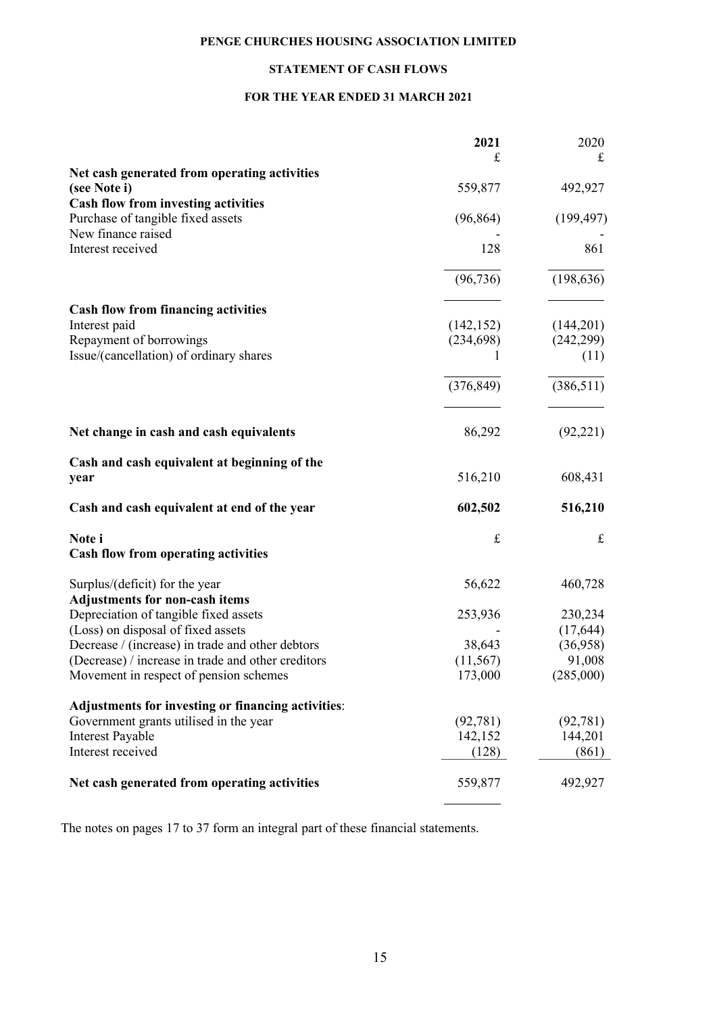# STATEMENT OF CASH FLOWS

### FOR THE YEAR ENDED 31 MARCH 2021

|                                                    | 2021       | 2020       |
|----------------------------------------------------|------------|------------|
|                                                    | £          | £          |
| Net cash generated from operating activities       |            |            |
| (see Note i)                                       | 559,877    | 492,927    |
| <b>Cash flow from investing activities</b>         |            |            |
| Purchase of tangible fixed assets                  | (96, 864)  | (199, 497) |
| New finance raised                                 |            |            |
| Interest received                                  | 128        | 861        |
|                                                    |            |            |
|                                                    | (96, 736)  | (198, 636) |
| <b>Cash flow from financing activities</b>         |            |            |
| Interest paid                                      | (142, 152) | (144,201)  |
| Repayment of borrowings                            | (234, 698) | (242, 299) |
| Issue/(cancellation) of ordinary shares            | L          | (11)       |
|                                                    | (376, 849) | (386, 511) |
|                                                    |            |            |
| Net change in cash and cash equivalents            | 86,292     | (92, 221)  |
| Cash and cash equivalent at beginning of the       |            |            |
| year                                               | 516,210    | 608,431    |
| Cash and cash equivalent at end of the year        | 602,502    | 516,210    |
| Note i                                             | $\pounds$  | $\pounds$  |
| <b>Cash flow from operating activities</b>         |            |            |
| Surplus/(deficit) for the year                     | 56,622     | 460,728    |
| <b>Adjustments for non-cash items</b>              |            |            |
| Depreciation of tangible fixed assets              | 253,936    | 230,234    |
| (Loss) on disposal of fixed assets                 |            | (17, 644)  |
| Decrease / (increase) in trade and other debtors   | 38,643     | (36,958)   |
| (Decrease) / increase in trade and other creditors | (11, 567)  | 91,008     |
| Movement in respect of pension schemes             | 173,000    | (285,000)  |
| Adjustments for investing or financing activities: |            |            |
| Government grants utilised in the year             | (92, 781)  | (92, 781)  |
| Interest Payable                                   | 142,152    | 144,201    |
| Interest received                                  | (128)      | (861)      |
| Net cash generated from operating activities       | 559,877    | 492,927    |
|                                                    |            |            |

The notes on pages 17 to 37 form an integral part of these financial statements.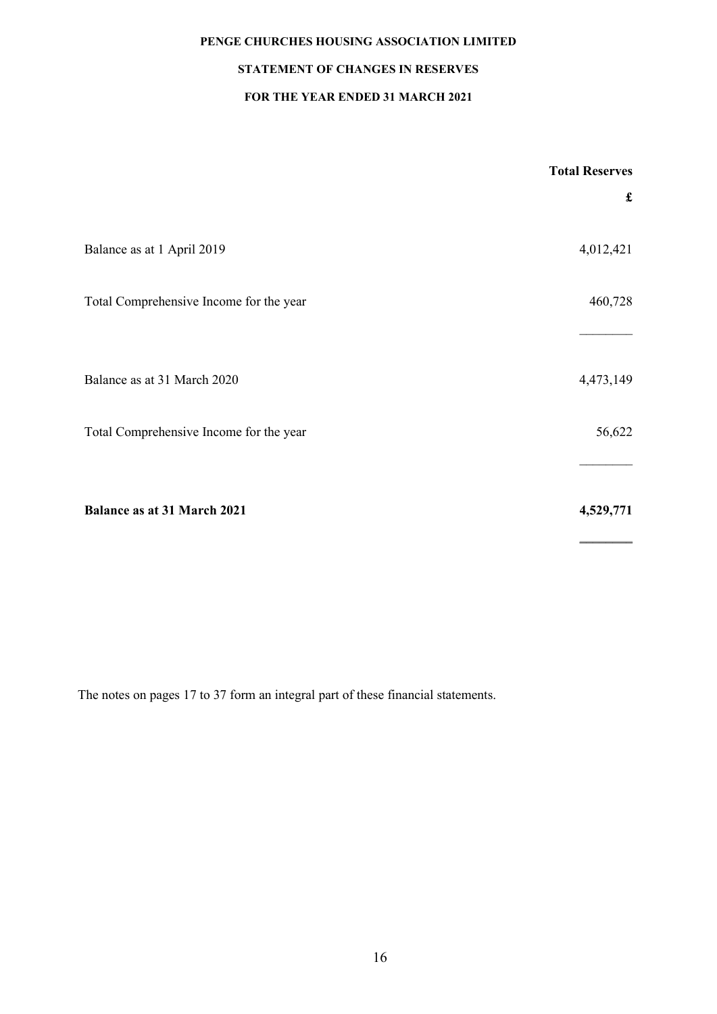# STATEMENT OF CHANGES IN RESERVES

### FOR THE YEAR ENDED 31 MARCH 2021

|                                         | <b>Total Reserves</b> |
|-----------------------------------------|-----------------------|
|                                         | $\mathbf f$           |
| Balance as at 1 April 2019              | 4,012,421             |
| Total Comprehensive Income for the year | 460,728               |
| Balance as at 31 March 2020             | 4,473,149             |
| Total Comprehensive Income for the year | 56,622                |
| <b>Balance as at 31 March 2021</b>      | 4,529,771             |

The notes on pages 17 to 37 form an integral part of these financial statements.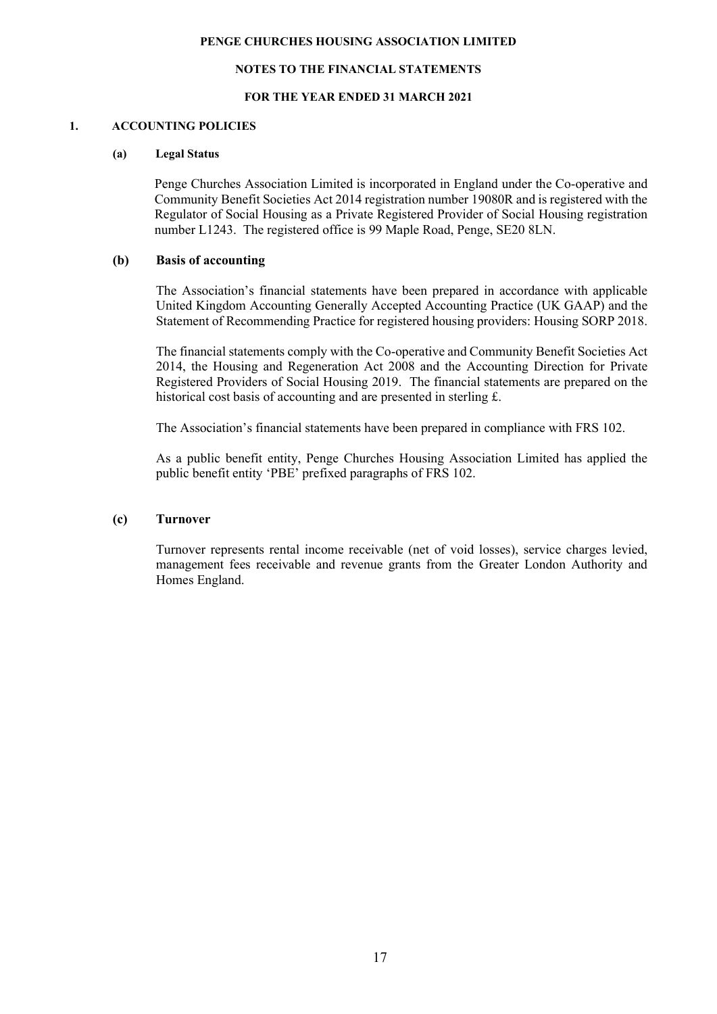#### NOTES TO THE FINANCIAL STATEMENTS

#### FOR THE YEAR ENDED 31 MARCH 2021

#### 1. ACCOUNTING POLICIES

#### (a) Legal Status

Penge Churches Association Limited is incorporated in England under the Co-operative and Community Benefit Societies Act 2014 registration number 19080R and is registered with the Regulator of Social Housing as a Private Registered Provider of Social Housing registration number L1243. The registered office is 99 Maple Road, Penge, SE20 8LN.

#### (b) Basis of accounting

The Association's financial statements have been prepared in accordance with applicable United Kingdom Accounting Generally Accepted Accounting Practice (UK GAAP) and the Statement of Recommending Practice for registered housing providers: Housing SORP 2018.

The financial statements comply with the Co-operative and Community Benefit Societies Act 2014, the Housing and Regeneration Act 2008 and the Accounting Direction for Private Registered Providers of Social Housing 2019. The financial statements are prepared on the historical cost basis of accounting and are presented in sterling £.

The Association's financial statements have been prepared in compliance with FRS 102.

As a public benefit entity, Penge Churches Housing Association Limited has applied the public benefit entity 'PBE' prefixed paragraphs of FRS 102.

### (c) Turnover

Turnover represents rental income receivable (net of void losses), service charges levied, management fees receivable and revenue grants from the Greater London Authority and Homes England.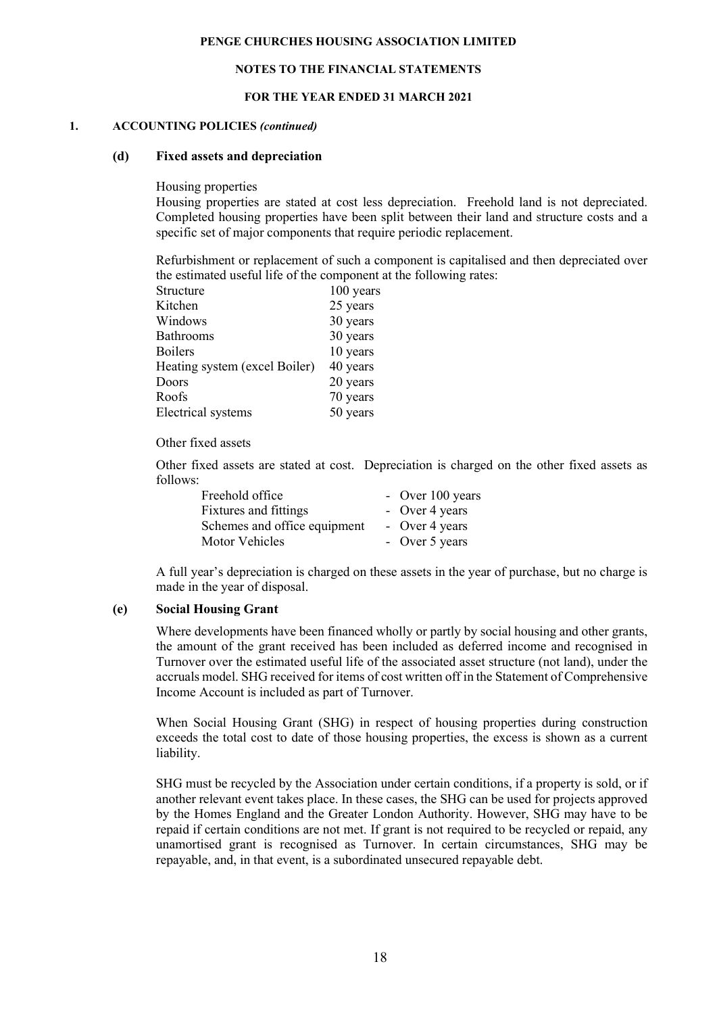#### NOTES TO THE FINANCIAL STATEMENTS

#### FOR THE YEAR ENDED 31 MARCH 2021

#### 1. ACCOUNTING POLICIES (continued)

#### (d) Fixed assets and depreciation

Housing properties

Housing properties are stated at cost less depreciation. Freehold land is not depreciated. Completed housing properties have been split between their land and structure costs and a specific set of major components that require periodic replacement.

Refurbishment or replacement of such a component is capitalised and then depreciated over the estimated useful life of the component at the following rates:

| Structure                     | 100 years |
|-------------------------------|-----------|
| Kitchen                       | 25 years  |
| Windows                       | 30 years  |
| <b>Bathrooms</b>              | 30 years  |
| Boilers                       | 10 years  |
| Heating system (excel Boiler) | 40 years  |
| Doors                         | 20 years  |
| Roofs                         | 70 years  |
| <b>Electrical</b> systems     | 50 years  |

#### Other fixed assets

Other fixed assets are stated at cost. Depreciation is charged on the other fixed assets as follows:

| Freehold office              | - Over 100 years |
|------------------------------|------------------|
| Fixtures and fittings        | - Over 4 years   |
| Schemes and office equipment | - Over 4 years   |
| Motor Vehicles               | - Over 5 years   |

A full year's depreciation is charged on these assets in the year of purchase, but no charge is made in the year of disposal.

#### (e) Social Housing Grant

Where developments have been financed wholly or partly by social housing and other grants, the amount of the grant received has been included as deferred income and recognised in Turnover over the estimated useful life of the associated asset structure (not land), under the accruals model. SHG received for items of cost written off in the Statement of Comprehensive Income Account is included as part of Turnover.

When Social Housing Grant (SHG) in respect of housing properties during construction exceeds the total cost to date of those housing properties, the excess is shown as a current liability.

SHG must be recycled by the Association under certain conditions, if a property is sold, or if another relevant event takes place. In these cases, the SHG can be used for projects approved by the Homes England and the Greater London Authority. However, SHG may have to be repaid if certain conditions are not met. If grant is not required to be recycled or repaid, any unamortised grant is recognised as Turnover. In certain circumstances, SHG may be repayable, and, in that event, is a subordinated unsecured repayable debt.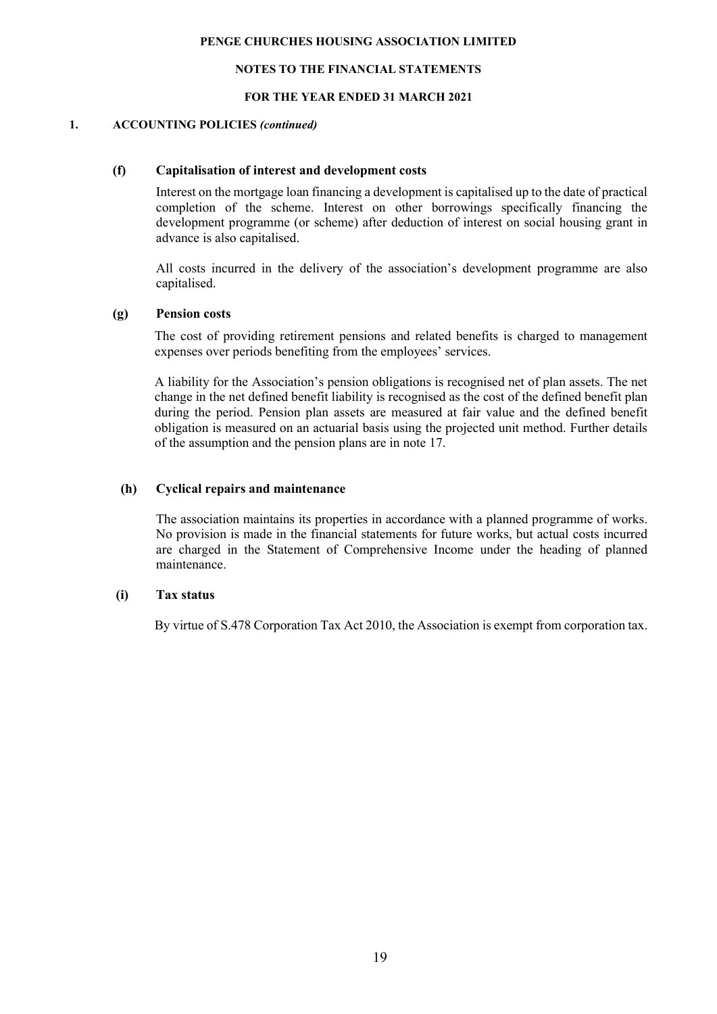#### NOTES TO THE FINANCIAL STATEMENTS

#### FOR THE YEAR ENDED 31 MARCH 2021

#### 1. ACCOUNTING POLICIES (continued)

#### (f) Capitalisation of interest and development costs

Interest on the mortgage loan financing a development is capitalised up to the date of practical completion of the scheme. Interest on other borrowings specifically financing the development programme (or scheme) after deduction of interest on social housing grant in advance is also capitalised.

All costs incurred in the delivery of the association's development programme are also capitalised.

#### (g) Pension costs

The cost of providing retirement pensions and related benefits is charged to management expenses over periods benefiting from the employees' services.

A liability for the Association's pension obligations is recognised net of plan assets. The net change in the net defined benefit liability is recognised as the cost of the defined benefit plan during the period. Pension plan assets are measured at fair value and the defined benefit obligation is measured on an actuarial basis using the projected unit method. Further details of the assumption and the pension plans are in note 17.

#### (h) Cyclical repairs and maintenance

The association maintains its properties in accordance with a planned programme of works. No provision is made in the financial statements for future works, but actual costs incurred are charged in the Statement of Comprehensive Income under the heading of planned maintenance.

### (i) Tax status

By virtue of S.478 Corporation Tax Act 2010, the Association is exempt from corporation tax.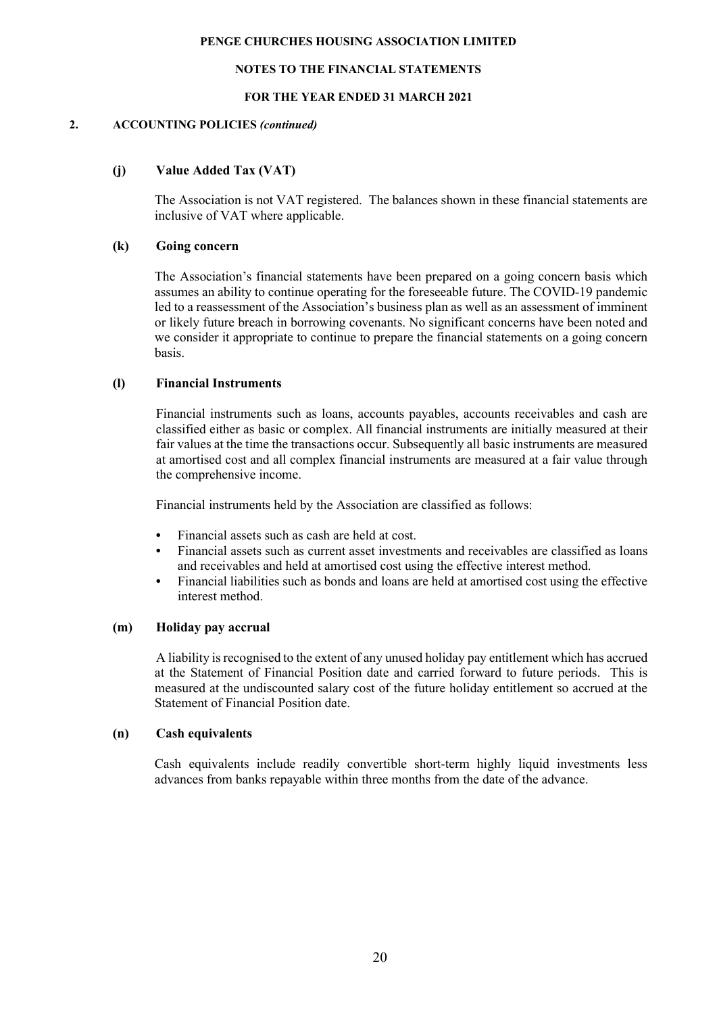#### NOTES TO THE FINANCIAL STATEMENTS

#### FOR THE YEAR ENDED 31 MARCH 2021

#### 2. ACCOUNTING POLICIES (continued)

### (j) Value Added Tax (VAT)

The Association is not VAT registered. The balances shown in these financial statements are inclusive of VAT where applicable.

#### (k) Going concern

The Association's financial statements have been prepared on a going concern basis which assumes an ability to continue operating for the foreseeable future. The COVID-19 pandemic led to a reassessment of the Association's business plan as well as an assessment of imminent or likely future breach in borrowing covenants. No significant concerns have been noted and we consider it appropriate to continue to prepare the financial statements on a going concern basis.

#### (l) Financial Instruments

Financial instruments such as loans, accounts payables, accounts receivables and cash are classified either as basic or complex. All financial instruments are initially measured at their fair values at the time the transactions occur. Subsequently all basic instruments are measured at amortised cost and all complex financial instruments are measured at a fair value through the comprehensive income.

Financial instruments held by the Association are classified as follows:

- Financial assets such as cash are held at cost.
- Financial assets such as current asset investments and receivables are classified as loans and receivables and held at amortised cost using the effective interest method.
- Financial liabilities such as bonds and loans are held at amortised cost using the effective interest method.

### (m) Holiday pay accrual

A liability is recognised to the extent of any unused holiday pay entitlement which has accrued at the Statement of Financial Position date and carried forward to future periods. This is measured at the undiscounted salary cost of the future holiday entitlement so accrued at the Statement of Financial Position date.

#### (n) Cash equivalents

Cash equivalents include readily convertible short-term highly liquid investments less advances from banks repayable within three months from the date of the advance.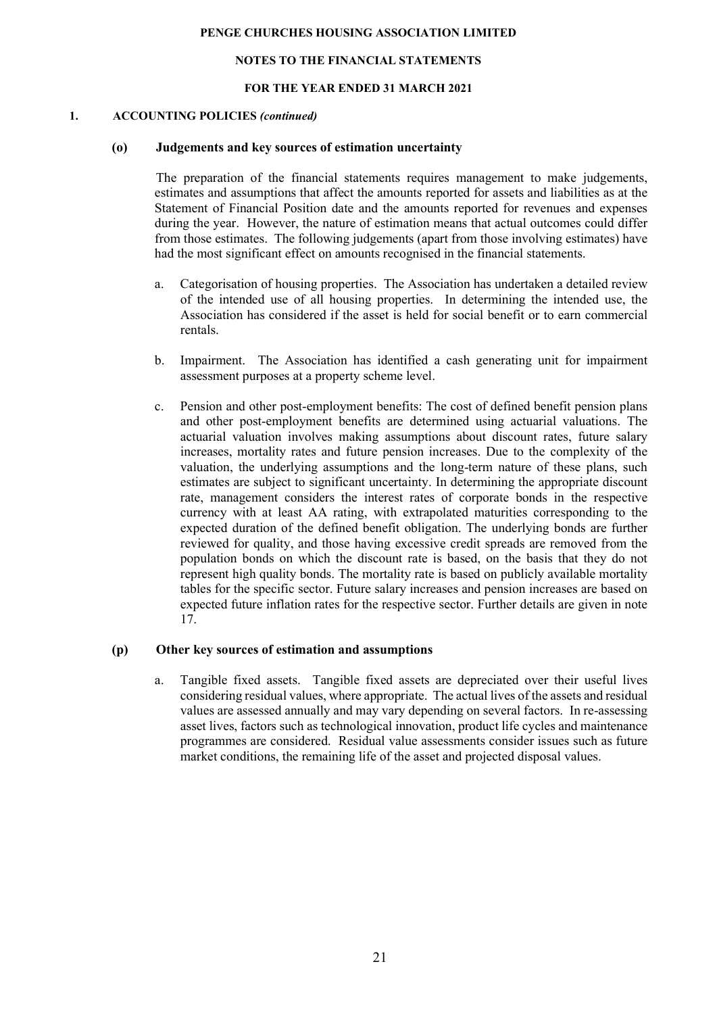#### NOTES TO THE FINANCIAL STATEMENTS

#### FOR THE YEAR ENDED 31 MARCH 2021

#### 1. ACCOUNTING POLICIES (continued)

#### (o) Judgements and key sources of estimation uncertainty

 The preparation of the financial statements requires management to make judgements, estimates and assumptions that affect the amounts reported for assets and liabilities as at the Statement of Financial Position date and the amounts reported for revenues and expenses during the year. However, the nature of estimation means that actual outcomes could differ from those estimates. The following judgements (apart from those involving estimates) have had the most significant effect on amounts recognised in the financial statements.

- a. Categorisation of housing properties. The Association has undertaken a detailed review of the intended use of all housing properties. In determining the intended use, the Association has considered if the asset is held for social benefit or to earn commercial rentals.
- b. Impairment. The Association has identified a cash generating unit for impairment assessment purposes at a property scheme level.
- c. Pension and other post-employment benefits: The cost of defined benefit pension plans and other post-employment benefits are determined using actuarial valuations. The actuarial valuation involves making assumptions about discount rates, future salary increases, mortality rates and future pension increases. Due to the complexity of the valuation, the underlying assumptions and the long-term nature of these plans, such estimates are subject to significant uncertainty. In determining the appropriate discount rate, management considers the interest rates of corporate bonds in the respective currency with at least AA rating, with extrapolated maturities corresponding to the expected duration of the defined benefit obligation. The underlying bonds are further reviewed for quality, and those having excessive credit spreads are removed from the population bonds on which the discount rate is based, on the basis that they do not represent high quality bonds. The mortality rate is based on publicly available mortality tables for the specific sector. Future salary increases and pension increases are based on expected future inflation rates for the respective sector. Further details are given in note 17.

#### (p) Other key sources of estimation and assumptions

a. Tangible fixed assets. Tangible fixed assets are depreciated over their useful lives considering residual values, where appropriate. The actual lives of the assets and residual values are assessed annually and may vary depending on several factors. In re-assessing asset lives, factors such as technological innovation, product life cycles and maintenance programmes are considered. Residual value assessments consider issues such as future market conditions, the remaining life of the asset and projected disposal values.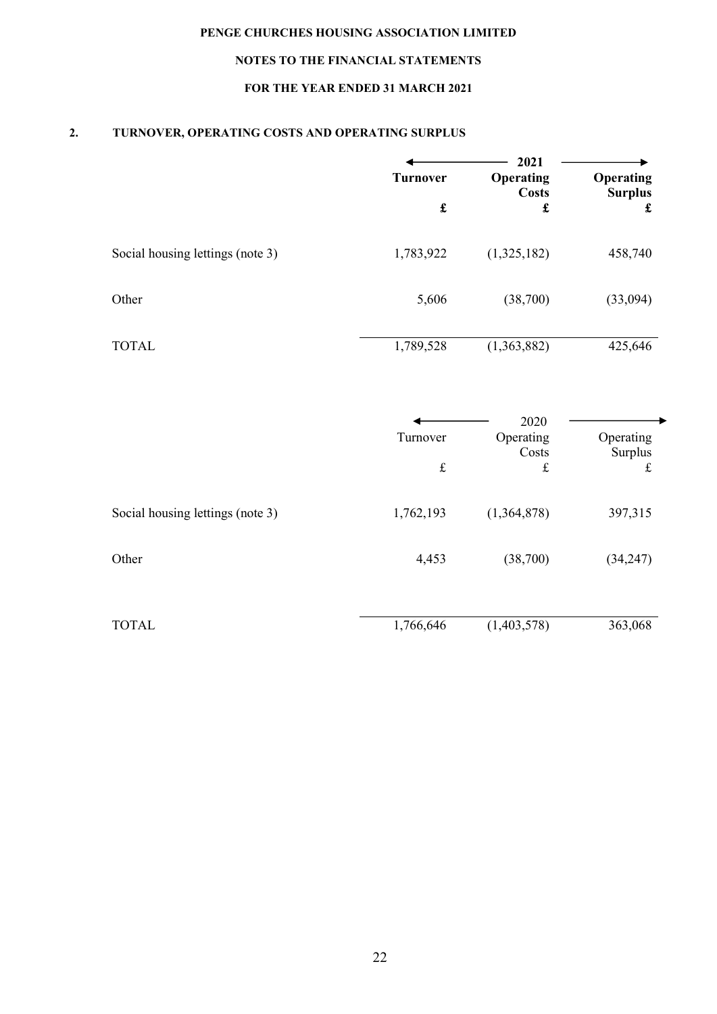# NOTES TO THE FINANCIAL STATEMENTS

# FOR THE YEAR ENDED 31 MARCH 2021

# 2. TURNOVER, OPERATING COSTS AND OPERATING SURPLUS

|                                  | <b>Turnover</b> | 2021<br><b>Operating</b><br><b>Costs</b> | <b>Operating</b><br><b>Surplus</b> |
|----------------------------------|-----------------|------------------------------------------|------------------------------------|
|                                  | £               | £                                        | £                                  |
| Social housing lettings (note 3) | 1,783,922       | (1,325,182)                              | 458,740                            |
| Other                            | 5,606           | (38,700)                                 | (33,094)                           |
| <b>TOTAL</b>                     | 1,789,528       | (1,363,882)                              | 425,646                            |

|                                  | Turnover<br>$\pounds$ | 2020<br>Operating<br>Costs<br>$\mathbf f$ | Operating<br>Surplus<br>£ |
|----------------------------------|-----------------------|-------------------------------------------|---------------------------|
| Social housing lettings (note 3) | 1,762,193             | (1,364,878)                               | 397,315                   |
| Other                            | 4,453                 | (38,700)                                  | (34,247)                  |
| <b>TOTAL</b>                     | 1,766,646             | (1,403,578)                               | 363,068                   |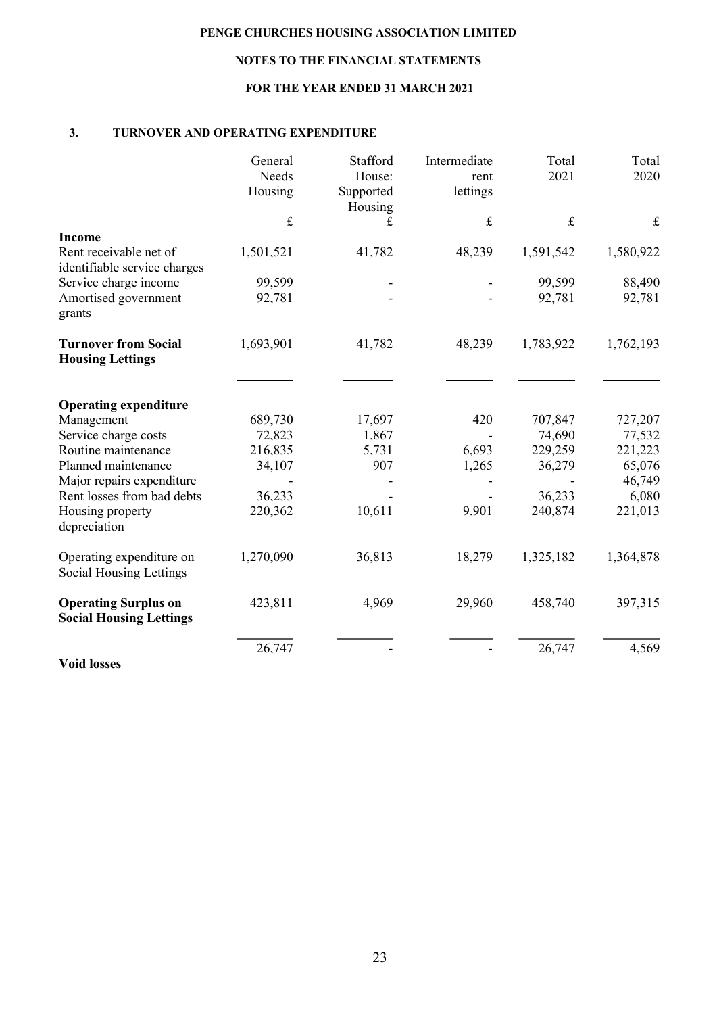# NOTES TO THE FINANCIAL STATEMENTS

# FOR THE YEAR ENDED 31 MARCH 2021

### 3. TURNOVER AND OPERATING EXPENDITURE

|                                                               | General<br>Needs<br>Housing | Stafford<br>House:<br>Supported<br>Housing | Intermediate<br>rent<br>lettings | Total<br>2021 | Total<br>2020 |
|---------------------------------------------------------------|-----------------------------|--------------------------------------------|----------------------------------|---------------|---------------|
|                                                               | $\pounds$                   | £                                          | $\pounds$                        | $\pounds$     | $\pounds$     |
| <b>Income</b>                                                 |                             |                                            |                                  |               |               |
| Rent receivable net of<br>identifiable service charges        | 1,501,521                   | 41,782                                     | 48,239                           | 1,591,542     | 1,580,922     |
| Service charge income                                         | 99,599                      |                                            |                                  | 99,599        | 88,490        |
| Amortised government<br>grants                                | 92,781                      |                                            |                                  | 92,781        | 92,781        |
| <b>Turnover from Social</b><br><b>Housing Lettings</b>        | 1,693,901                   | 41,782                                     | 48,239                           | 1,783,922     | 1,762,193     |
|                                                               |                             |                                            |                                  |               |               |
| <b>Operating expenditure</b>                                  |                             |                                            |                                  |               |               |
| Management                                                    | 689,730                     | 17,697                                     | 420                              | 707,847       | 727,207       |
| Service charge costs                                          | 72,823                      | 1,867                                      |                                  | 74,690        | 77,532        |
| Routine maintenance                                           | 216,835                     | 5,731                                      | 6,693                            | 229,259       | 221,223       |
| Planned maintenance                                           | 34,107                      | 907                                        | 1,265                            | 36,279        | 65,076        |
| Major repairs expenditure                                     |                             |                                            |                                  |               | 46,749        |
| Rent losses from bad debts                                    | 36,233                      |                                            |                                  | 36,233        | 6,080         |
| Housing property<br>depreciation                              | 220,362                     | 10,611                                     | 9.901                            | 240,874       | 221,013       |
| Operating expenditure on<br><b>Social Housing Lettings</b>    | 1,270,090                   | 36,813                                     | 18,279                           | 1,325,182     | 1,364,878     |
| <b>Operating Surplus on</b><br><b>Social Housing Lettings</b> | 423,811                     | 4,969                                      | 29,960                           | 458,740       | 397,315       |
|                                                               | 26,747                      |                                            |                                  | 26,747        | 4,569         |
| <b>Void losses</b>                                            |                             |                                            |                                  |               |               |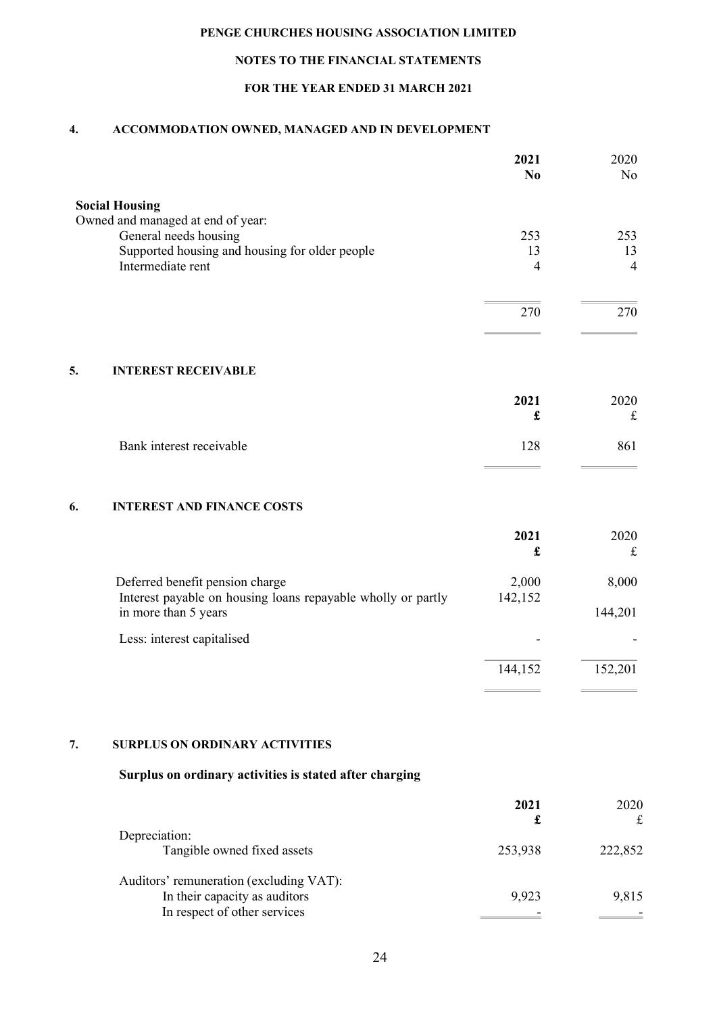# NOTES TO THE FINANCIAL STATEMENTS

# FOR THE YEAR ENDED 31 MARCH 2021

## 4. ACCOMMODATION OWNED, MANAGED AND IN DEVELOPMENT

|                                                                                      | 2021<br>N <sub>0</sub> | 2020<br>N <sub>o</sub> |
|--------------------------------------------------------------------------------------|------------------------|------------------------|
| <b>Social Housing</b>                                                                |                        |                        |
| Owned and managed at end of year:                                                    |                        |                        |
| General needs housing                                                                | 253                    | 253                    |
| Supported housing and housing for older people                                       | 13                     | 13                     |
| Intermediate rent                                                                    | 4                      | $\overline{4}$         |
|                                                                                      | 270                    | 270                    |
|                                                                                      |                        |                        |
| 5.<br><b>INTEREST RECEIVABLE</b>                                                     |                        |                        |
|                                                                                      | 2021                   | 2020                   |
|                                                                                      | £                      | $\pounds$              |
| Bank interest receivable                                                             | 128                    | 861                    |
| 6.<br><b>INTEREST AND FINANCE COSTS</b>                                              |                        |                        |
|                                                                                      | 2021                   | 2020                   |
|                                                                                      | £                      | $\pounds$              |
| Deferred benefit pension charge                                                      | 2,000                  | 8,000                  |
| Interest payable on housing loans repayable wholly or partly<br>in more than 5 years | 142,152                | 144,201                |
| Less: interest capitalised                                                           |                        |                        |
|                                                                                      | 144,152                | 152,201                |
|                                                                                      |                        |                        |

### 7. SURPLUS ON ORDINARY ACTIVITIES

# Surplus on ordinary activities is stated after charging

|                                         | 2021    | 2020    |
|-----------------------------------------|---------|---------|
| Depreciation:                           |         |         |
| Tangible owned fixed assets             | 253,938 | 222,852 |
| Auditors' remuneration (excluding VAT): |         |         |
| In their capacity as auditors           | 9,923   | 9,815   |
| In respect of other services            |         |         |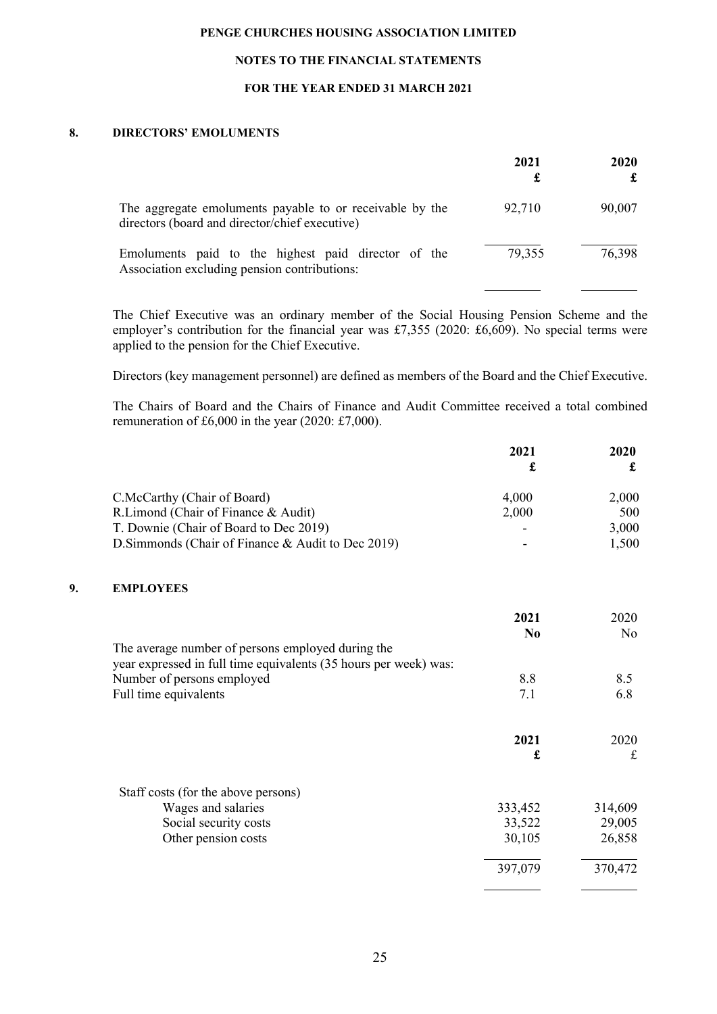### NOTES TO THE FINANCIAL STATEMENTS

### FOR THE YEAR ENDED 31 MARCH 2021

#### 8. DIRECTORS' EMOLUMENTS

|                                                                                                            | 2021   | 2020   |
|------------------------------------------------------------------------------------------------------------|--------|--------|
| The aggregate emoluments payable to or receivable by the<br>directors (board and director/chief executive) | 92,710 | 90,007 |
| Emoluments paid to the highest paid director of the<br>Association excluding pension contributions:        | 79,355 | 76,398 |

The Chief Executive was an ordinary member of the Social Housing Pension Scheme and the employer's contribution for the financial year was £7,355 (2020: £6,609). No special terms were applied to the pension for the Chief Executive.

Directors (key management personnel) are defined as members of the Board and the Chief Executive.

The Chairs of Board and the Chairs of Finance and Audit Committee received a total combined remuneration of £6,000 in the year (2020: £7,000).

|    |                                                                                                                       | 2021<br>£ | 2020<br>£      |
|----|-----------------------------------------------------------------------------------------------------------------------|-----------|----------------|
|    | C.McCarthy (Chair of Board)                                                                                           | 4,000     | 2,000          |
|    | R.Limond (Chair of Finance & Audit)                                                                                   | 2,000     | 500            |
|    | T. Downie (Chair of Board to Dec 2019)                                                                                |           | 3,000          |
|    | D.Simmonds (Chair of Finance & Audit to Dec 2019)                                                                     |           | 1,500          |
| 9. | <b>EMPLOYEES</b>                                                                                                      |           |                |
|    |                                                                                                                       | 2021      | 2020           |
|    |                                                                                                                       | No        | N <sub>o</sub> |
|    | The average number of persons employed during the<br>year expressed in full time equivalents (35 hours per week) was: |           |                |
|    | Number of persons employed                                                                                            | 8.8       | 8.5            |
|    | Full time equivalents                                                                                                 | 7.1       | 6.8            |
|    |                                                                                                                       | 2021      | 2020           |
|    |                                                                                                                       | £         | $\mathbf f$    |
|    | Staff costs (for the above persons)                                                                                   |           |                |
|    | Wages and salaries                                                                                                    | 333,452   | 314,609        |
|    | Social security costs                                                                                                 | 33,522    | 29,005         |
|    | Other pension costs                                                                                                   | 30,105    | 26,858         |
|    |                                                                                                                       | 397,079   | 370,472        |
|    |                                                                                                                       |           |                |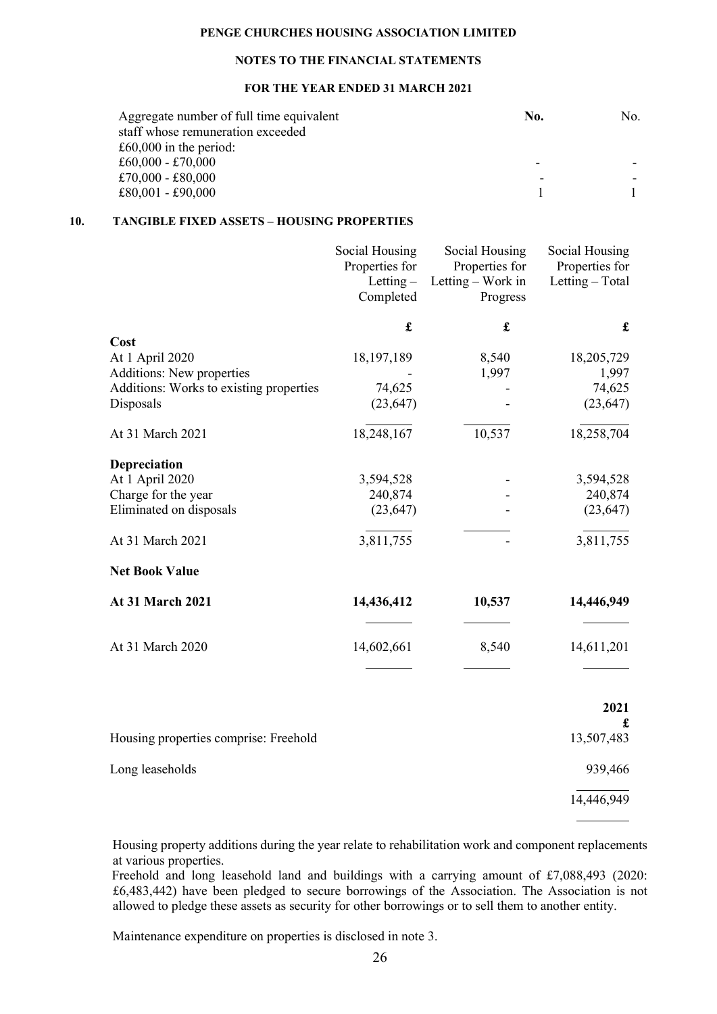### NOTES TO THE FINANCIAL STATEMENTS

### FOR THE YEAR ENDED 31 MARCH 2021

| Aggregate number of full time equivalent | No. | No. |
|------------------------------------------|-----|-----|
| staff whose remuneration exceeded        |     |     |
| £60,000 in the period:                   |     |     |
| £60,000 - £70,000                        |     |     |
| £70,000 - £80,000                        | -   |     |
| £80,001 - £90,000                        |     |     |

### 10. TANGIBLE FIXED ASSETS – HOUSING PROPERTIES

|                                                      | Social Housing<br>Properties for<br>Letting $-$<br>Completed | Social Housing<br>Properties for<br>Letting - Work in<br>Progress | Social Housing<br>Properties for<br>Letting - Total |
|------------------------------------------------------|--------------------------------------------------------------|-------------------------------------------------------------------|-----------------------------------------------------|
|                                                      | $\mathbf f$                                                  | $\pmb{\mathfrak{L}}$                                              | $\mathbf f$                                         |
| Cost                                                 |                                                              |                                                                   |                                                     |
| At 1 April 2020                                      | 18, 197, 189                                                 | 8,540                                                             | 18,205,729                                          |
| Additions: New properties                            |                                                              | 1,997                                                             | 1,997                                               |
| Additions: Works to existing properties<br>Disposals | 74,625<br>(23, 647)                                          |                                                                   | 74,625<br>(23, 647)                                 |
| At 31 March 2021                                     | 18,248,167                                                   | 10,537                                                            | 18,258,704                                          |
| Depreciation                                         |                                                              |                                                                   |                                                     |
| At 1 April 2020                                      | 3,594,528                                                    |                                                                   | 3,594,528                                           |
| Charge for the year                                  | 240,874                                                      |                                                                   | 240,874                                             |
| Eliminated on disposals                              | (23, 647)                                                    |                                                                   | (23, 647)                                           |
| At 31 March 2021                                     | 3,811,755                                                    |                                                                   | 3,811,755                                           |
| <b>Net Book Value</b>                                |                                                              |                                                                   |                                                     |
| At 31 March 2021                                     | 14,436,412                                                   | 10,537                                                            | 14,446,949                                          |
| At 31 March 2020                                     | 14,602,661                                                   | 8,540                                                             | 14,611,201                                          |
|                                                      |                                                              |                                                                   | 2021                                                |
|                                                      |                                                              |                                                                   | £                                                   |
| Housing properties comprise: Freehold                |                                                              |                                                                   | 13,507,483                                          |
| Long leaseholds                                      |                                                              |                                                                   | 939,466                                             |
|                                                      |                                                              |                                                                   | 14,446,949                                          |

 Housing property additions during the year relate to rehabilitation work and component replacements at various properties.

 $\overline{a}$ 

Freehold and long leasehold land and buildings with a carrying amount of £7,088,493 (2020: £6,483,442) have been pledged to secure borrowings of the Association. The Association is not allowed to pledge these assets as security for other borrowings or to sell them to another entity.

Maintenance expenditure on properties is disclosed in note 3.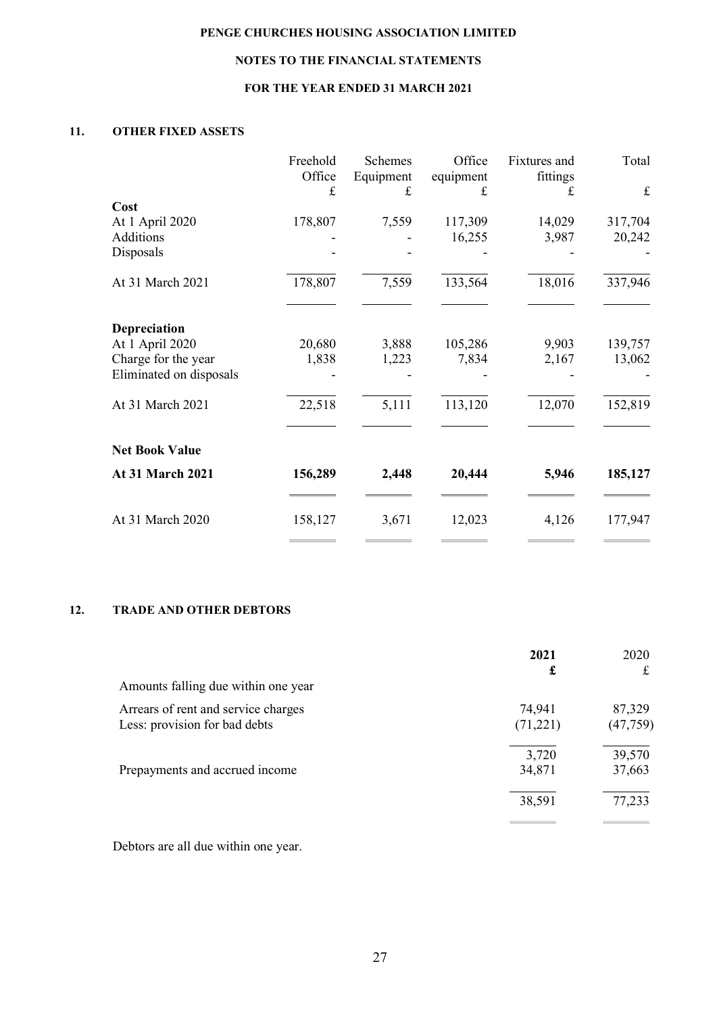# NOTES TO THE FINANCIAL STATEMENTS

# FOR THE YEAR ENDED 31 MARCH 2021

# 11. OTHER FIXED ASSETS

| $\pounds$ |                            | £                       | fittings<br>£                         | $\pounds$                         |
|-----------|----------------------------|-------------------------|---------------------------------------|-----------------------------------|
|           | £                          |                         |                                       |                                   |
|           |                            |                         |                                       | 317,704                           |
|           |                            |                         |                                       | 20,242                            |
|           |                            |                         |                                       |                                   |
| 178,807   | 7,559                      | 133,564                 | 18,016                                | 337,946                           |
|           |                            |                         |                                       |                                   |
|           |                            |                         |                                       | 139,757                           |
|           |                            |                         |                                       | 13,062                            |
| 22,518    | 5,111                      | 113,120                 | 12,070                                | 152,819                           |
|           |                            |                         |                                       |                                   |
| 156,289   | 2,448                      | 20,444                  | 5,946                                 | 185,127                           |
| 158,127   | 3,671                      | 12,023                  | 4,126                                 | 177,947                           |
|           | 178,807<br>20,680<br>1,838 | 7,559<br>3,888<br>1,223 | 117,309<br>16,255<br>105,286<br>7,834 | 14,029<br>3,987<br>9,903<br>2,167 |

### 12. TRADE AND OTHER DEBTORS

|                                                                      | 2021               | 2020                |
|----------------------------------------------------------------------|--------------------|---------------------|
| Amounts falling due within one year                                  | £                  | £                   |
| Arrears of rent and service charges<br>Less: provision for bad debts | 74,941<br>(71,221) | 87,329<br>(47, 759) |
| Prepayments and accrued income                                       | 3,720<br>34,871    | 39,570<br>37,663    |
|                                                                      | 38,591             | 77,233              |
|                                                                      |                    |                     |

Debtors are all due within one year.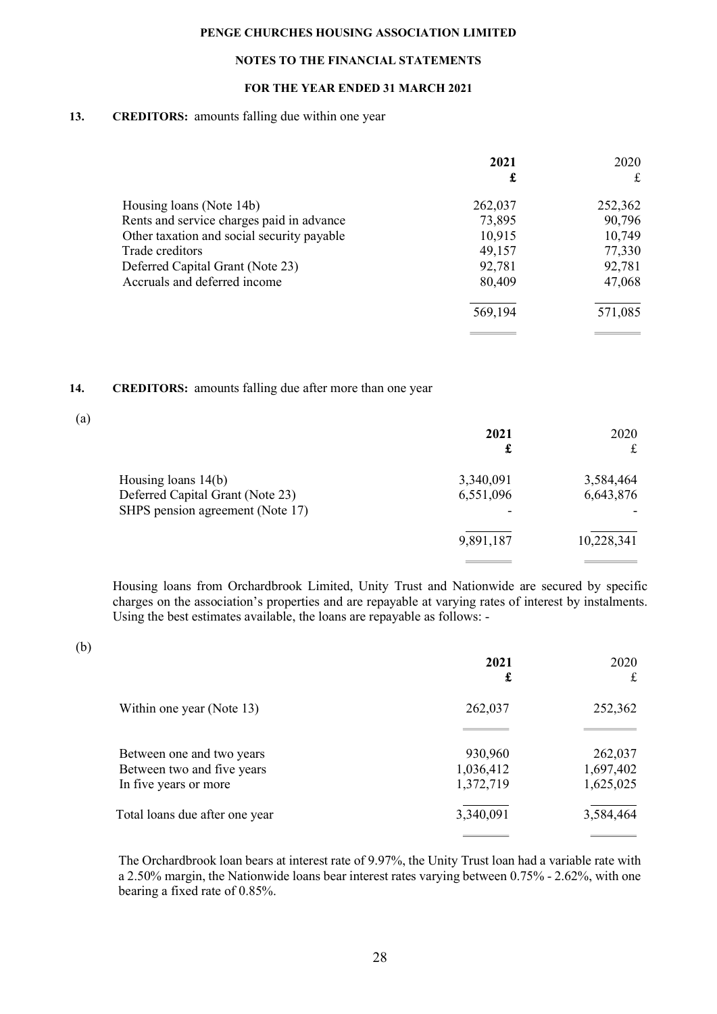### NOTES TO THE FINANCIAL STATEMENTS

### FOR THE YEAR ENDED 31 MARCH 2021

### 13. CREDITORS: amounts falling due within one year

|                                            | 2021<br>£ | 2020<br>£ |
|--------------------------------------------|-----------|-----------|
| Housing loans (Note 14b)                   | 262,037   | 252,362   |
| Rents and service charges paid in advance  | 73,895    | 90,796    |
| Other taxation and social security payable | 10,915    | 10,749    |
| Trade creditors                            | 49,157    | 77,330    |
| Deferred Capital Grant (Note 23)           | 92,781    | 92,781    |
| Accruals and deferred income               | 80,409    | 47,068    |
|                                            | 569,194   | 571,085   |
|                                            |           |           |

### 14. CREDITORS: amounts falling due after more than one year

| $\left( \text{a}\right)$ |                                  |           |            |
|--------------------------|----------------------------------|-----------|------------|
|                          |                                  | 2021      | 2020       |
|                          |                                  | £         | £          |
|                          | Housing loans 14(b)              | 3,340,091 | 3,584,464  |
|                          | Deferred Capital Grant (Note 23) | 6,551,096 | 6,643,876  |
|                          | SHPS pension agreement (Note 17) |           |            |
|                          |                                  | 9,891,187 | 10,228,341 |
|                          |                                  |           |            |

Housing loans from Orchardbrook Limited, Unity Trust and Nationwide are secured by specific charges on the association's properties and are repayable at varying rates of interest by instalments. Using the best estimates available, the loans are repayable as follows: -

(b)

|                                | 2021<br>£ | 2020<br>$\mathbf f$ |
|--------------------------------|-----------|---------------------|
| Within one year (Note 13)      | 262,037   | 252,362             |
|                                |           |                     |
| Between one and two years      | 930,960   | 262,037             |
| Between two and five years     | 1,036,412 | 1,697,402           |
| In five years or more          | 1,372,719 | 1,625,025           |
| Total loans due after one year | 3,340,091 | 3,584,464           |
|                                |           |                     |

The Orchardbrook loan bears at interest rate of 9.97%, the Unity Trust loan had a variable rate with a 2.50% margin, the Nationwide loans bear interest rates varying between 0.75% - 2.62%, with one bearing a fixed rate of 0.85%.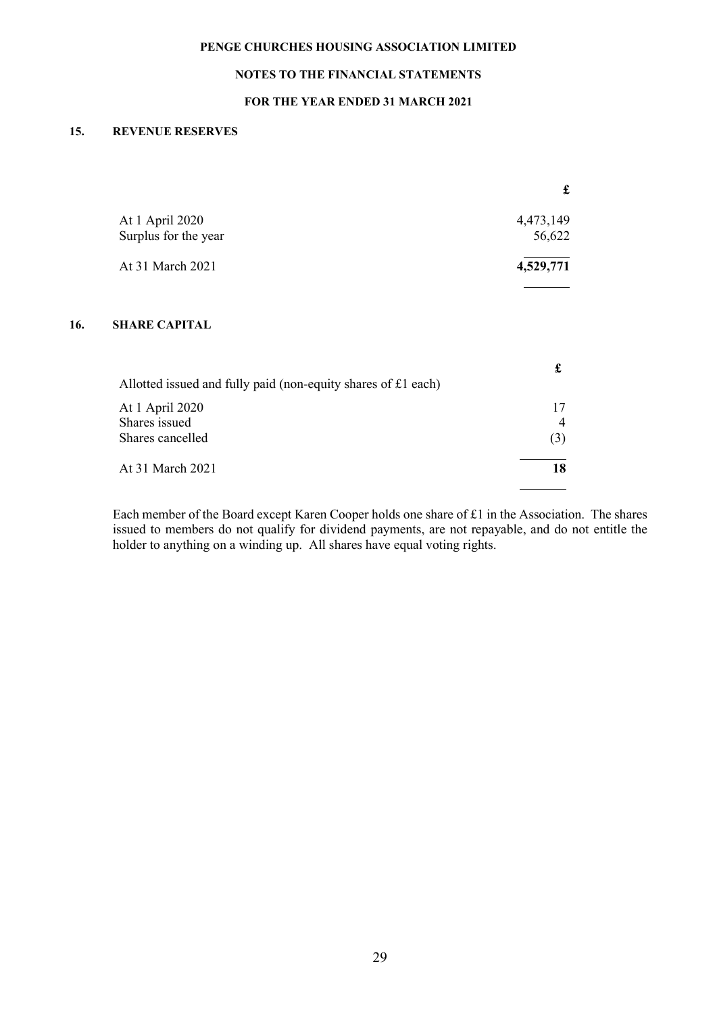# NOTES TO THE FINANCIAL STATEMENTS

### FOR THE YEAR ENDED 31 MARCH 2021

### 15. REVENUE RESERVES

|     |                                                               | £              |
|-----|---------------------------------------------------------------|----------------|
|     | At 1 April 2020                                               | 4,473,149      |
|     | Surplus for the year                                          | 56,622         |
|     | At 31 March 2021                                              | 4,529,771      |
| 16. | <b>SHARE CAPITAL</b>                                          |                |
|     | Allotted issued and fully paid (non-equity shares of £1 each) | £              |
|     | At 1 April 2020                                               | 17             |
|     | Shares issued                                                 | $\overline{4}$ |
|     | Shares cancelled                                              | (3)            |
|     | At 31 March 2021                                              | 18             |

Each member of the Board except Karen Cooper holds one share of £1 in the Association. The shares issued to members do not qualify for dividend payments, are not repayable, and do not entitle the holder to anything on a winding up. All shares have equal voting rights.

 $\overline{a}$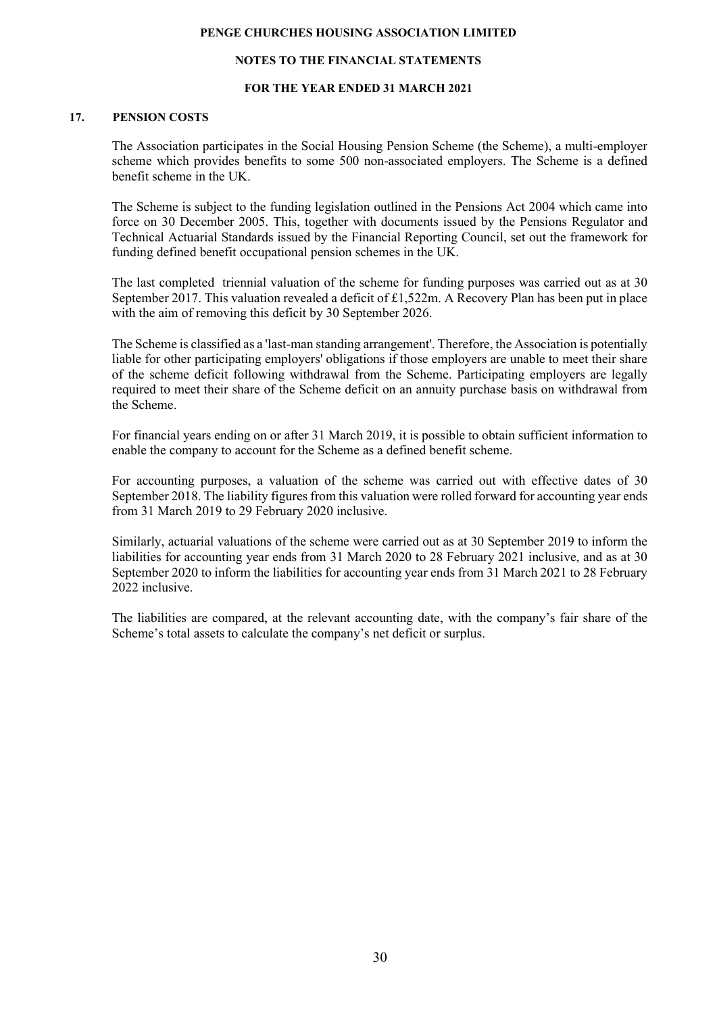#### NOTES TO THE FINANCIAL STATEMENTS

#### FOR THE YEAR ENDED 31 MARCH 2021

### 17. PENSION COSTS

The Association participates in the Social Housing Pension Scheme (the Scheme), a multi-employer scheme which provides benefits to some 500 non-associated employers. The Scheme is a defined benefit scheme in the UK.

The Scheme is subject to the funding legislation outlined in the Pensions Act 2004 which came into force on 30 December 2005. This, together with documents issued by the Pensions Regulator and Technical Actuarial Standards issued by the Financial Reporting Council, set out the framework for funding defined benefit occupational pension schemes in the UK.

The last completed triennial valuation of the scheme for funding purposes was carried out as at 30 September 2017. This valuation revealed a deficit of £1,522m. A Recovery Plan has been put in place with the aim of removing this deficit by 30 September 2026.

The Scheme is classified as a 'last-man standing arrangement'. Therefore, the Association is potentially liable for other participating employers' obligations if those employers are unable to meet their share of the scheme deficit following withdrawal from the Scheme. Participating employers are legally required to meet their share of the Scheme deficit on an annuity purchase basis on withdrawal from the Scheme.

For financial years ending on or after 31 March 2019, it is possible to obtain sufficient information to enable the company to account for the Scheme as a defined benefit scheme.

For accounting purposes, a valuation of the scheme was carried out with effective dates of 30 September 2018. The liability figures from this valuation were rolled forward for accounting year ends from 31 March 2019 to 29 February 2020 inclusive.

Similarly, actuarial valuations of the scheme were carried out as at 30 September 2019 to inform the liabilities for accounting year ends from 31 March 2020 to 28 February 2021 inclusive, and as at 30 September 2020 to inform the liabilities for accounting year ends from 31 March 2021 to 28 February 2022 inclusive.

The liabilities are compared, at the relevant accounting date, with the company's fair share of the Scheme's total assets to calculate the company's net deficit or surplus.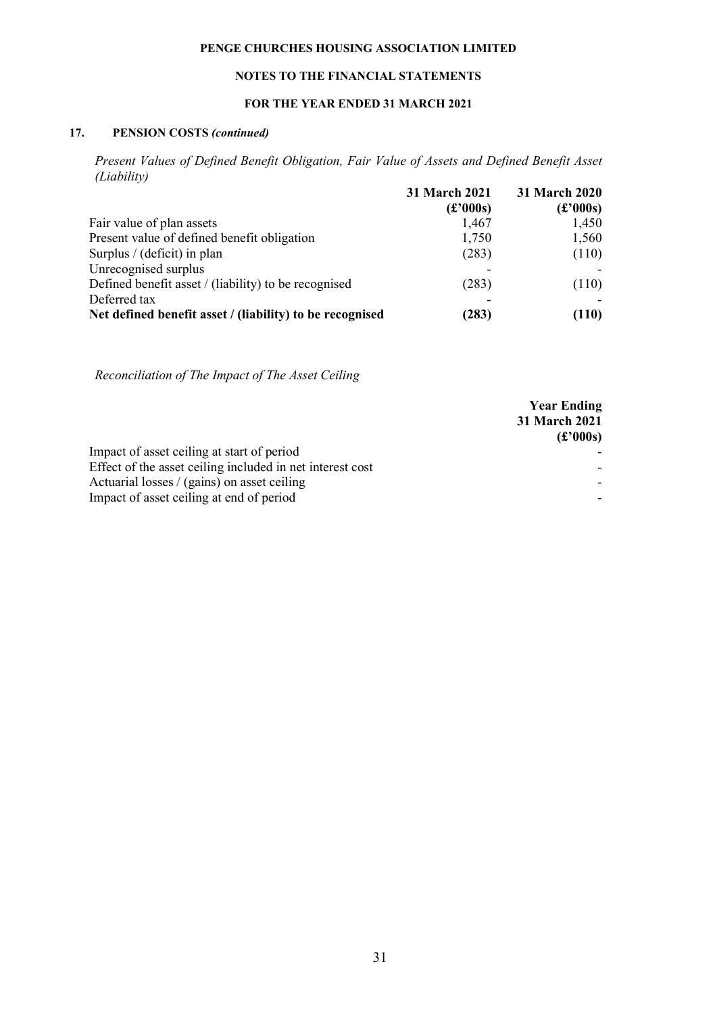### NOTES TO THE FINANCIAL STATEMENTS

### FOR THE YEAR ENDED 31 MARCH 2021

#### 17. PENSION COSTS (continued)

Present Values of Defined Benefit Obligation, Fair Value of Assets and Defined Benefit Asset (Liability)

|                                                          | 31 March 2021         | 31 March 2020    |  |
|----------------------------------------------------------|-----------------------|------------------|--|
|                                                          | $\mathbf{f}$ (£'000s) | $(\pounds 000s)$ |  |
| Fair value of plan assets                                | 1,467                 | 1,450            |  |
| Present value of defined benefit obligation              | 1,750                 | 1,560            |  |
| Surplus / (deficit) in plan                              | (283)                 | (110)            |  |
| Unrecognised surplus                                     |                       |                  |  |
| Defined benefit asset / (liability) to be recognised     | (283)                 | (110)            |  |
| Deferred tax                                             |                       |                  |  |
| Net defined benefit asset / (liability) to be recognised | (283)                 | (110)            |  |

Reconciliation of The Impact of The Asset Ceiling

|                                                           | <b>Year Ending</b><br>31 March 2021<br>$\mathbf{f}$ (£'000s) |
|-----------------------------------------------------------|--------------------------------------------------------------|
| Impact of asset ceiling at start of period                |                                                              |
| Effect of the asset ceiling included in net interest cost |                                                              |
| Actuarial losses / (gains) on asset ceiling               |                                                              |
| Impact of asset ceiling at end of period                  |                                                              |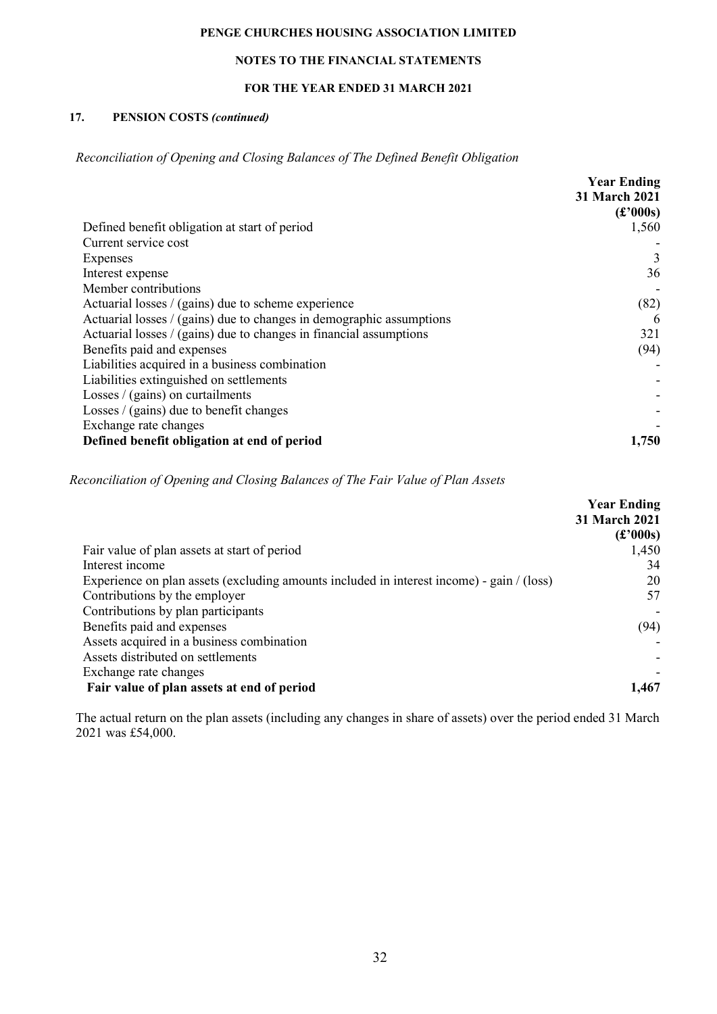### NOTES TO THE FINANCIAL STATEMENTS

### FOR THE YEAR ENDED 31 MARCH 2021

### 17. PENSION COSTS (continued)

Reconciliation of Opening and Closing Balances of The Defined Benefit Obligation

|                                                                      | <b>Year Ending</b>                                                         |
|----------------------------------------------------------------------|----------------------------------------------------------------------------|
|                                                                      | 31 March 2021                                                              |
|                                                                      | $\left(\textcolor{blue}{\pounds}^{2}000\textcolor{red}{\textbf{s}}\right)$ |
| Defined benefit obligation at start of period                        | 1,560                                                                      |
| Current service cost                                                 |                                                                            |
| Expenses                                                             | 3                                                                          |
| Interest expense                                                     | 36                                                                         |
| Member contributions                                                 |                                                                            |
| Actuarial losses / (gains) due to scheme experience                  | (82)                                                                       |
| Actuarial losses / (gains) due to changes in demographic assumptions | 6                                                                          |
| Actuarial losses $/(gains)$ due to changes in financial assumptions  | 321                                                                        |
| Benefits paid and expenses                                           | (94)                                                                       |
| Liabilities acquired in a business combination                       |                                                                            |
| Liabilities extinguished on settlements                              |                                                                            |
| Losses $/$ (gains) on curtailments                                   |                                                                            |
| Losses $/$ (gains) due to benefit changes                            |                                                                            |
| Exchange rate changes                                                |                                                                            |
| Defined benefit obligation at end of period                          | 1,750                                                                      |

#### Reconciliation of Opening and Closing Balances of The Fair Value of Plan Assets

|                                                                                              | <b>Year Ending</b>                                                      |
|----------------------------------------------------------------------------------------------|-------------------------------------------------------------------------|
|                                                                                              | 31 March 2021                                                           |
|                                                                                              | $\left(\textcolor{blue}{\pounds} 000\textcolor{red}{\textbf{s}}\right)$ |
| Fair value of plan assets at start of period                                                 | 1,450                                                                   |
| Interest income                                                                              | 34                                                                      |
| Experience on plan assets (excluding amounts included in interest income) - gain $/($ (loss) | 20                                                                      |
| Contributions by the employer                                                                | 57                                                                      |
| Contributions by plan participants                                                           |                                                                         |
| Benefits paid and expenses                                                                   | (94)                                                                    |
| Assets acquired in a business combination                                                    |                                                                         |
| Assets distributed on settlements                                                            |                                                                         |
| Exchange rate changes                                                                        |                                                                         |
| Fair value of plan assets at end of period                                                   | 1,467                                                                   |
|                                                                                              |                                                                         |

The actual return on the plan assets (including any changes in share of assets) over the period ended 31 March 2021 was £54,000.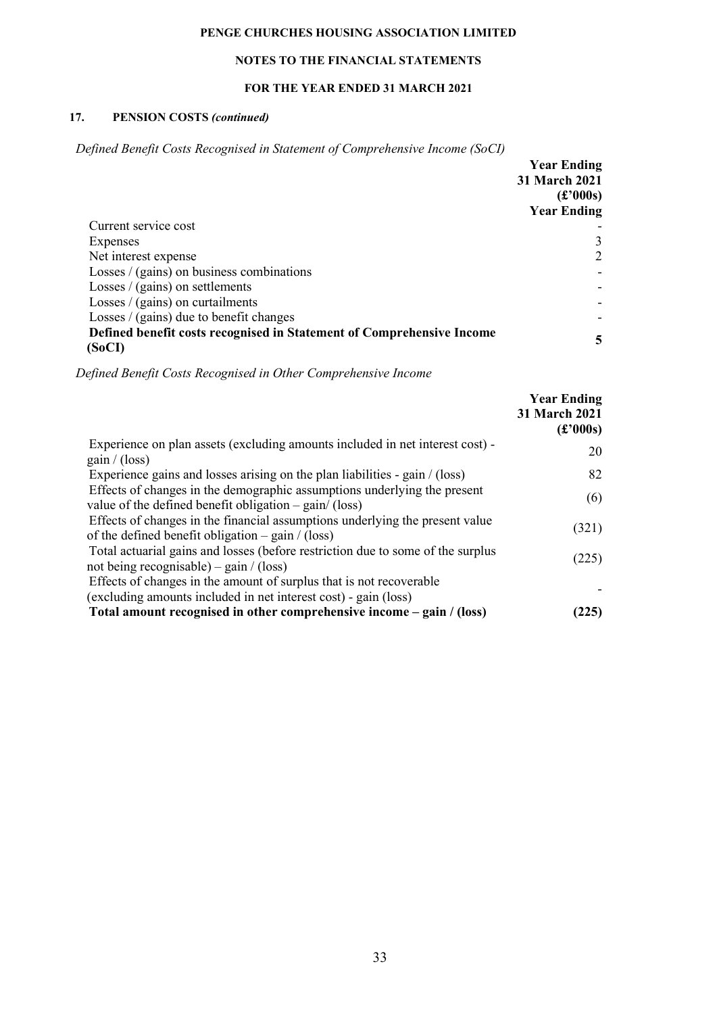### NOTES TO THE FINANCIAL STATEMENTS

### FOR THE YEAR ENDED 31 MARCH 2021

### 17. PENSION COSTS (continued)

Defined Benefit Costs Recognised in Statement of Comprehensive Income (SoCI)

|                                                                                 | <b>Year Ending</b><br>31 March 2021<br>$(\pounds 000s)$<br><b>Year Ending</b> |
|---------------------------------------------------------------------------------|-------------------------------------------------------------------------------|
| Current service cost                                                            |                                                                               |
| Expenses                                                                        | 3                                                                             |
| Net interest expense                                                            | 2                                                                             |
| Losses $/(gains)$ on business combinations                                      |                                                                               |
| Losses $/$ (gains) on settlements                                               |                                                                               |
| Losses $/$ (gains) on curtailments                                              |                                                                               |
| Losses $/$ (gains) due to benefit changes                                       |                                                                               |
| Defined benefit costs recognised in Statement of Comprehensive Income<br>(SoCI) | 5                                                                             |

Defined Benefit Costs Recognised in Other Comprehensive Income

|                                                                                                                                                  | <b>Year Ending</b><br>31 March 2021<br>$\mathbf{f}$ (£'000s) |
|--------------------------------------------------------------------------------------------------------------------------------------------------|--------------------------------------------------------------|
| Experience on plan assets (excluding amounts included in net interest cost) -<br>gain/(loss)                                                     | 20                                                           |
| Experience gains and losses arising on the plan liabilities - gain / (loss)                                                                      | 82                                                           |
| Effects of changes in the demographic assumptions underlying the present<br>value of the defined benefit obligation $-\text{gain}/(\text{loss})$ | (6)                                                          |
| Effects of changes in the financial assumptions underlying the present value<br>of the defined benefit obligation $-$ gain / (loss)              | (321)                                                        |
| Total actuarial gains and losses (before restriction due to some of the surplus<br>not being recognisable) – gain / (loss)                       | (225)                                                        |
| Effects of changes in the amount of surplus that is not recoverable<br>(excluding amounts included in net interest cost) - gain (loss)           |                                                              |
| Total amount recognised in other comprehensive income – gain / (loss)                                                                            | 225)                                                         |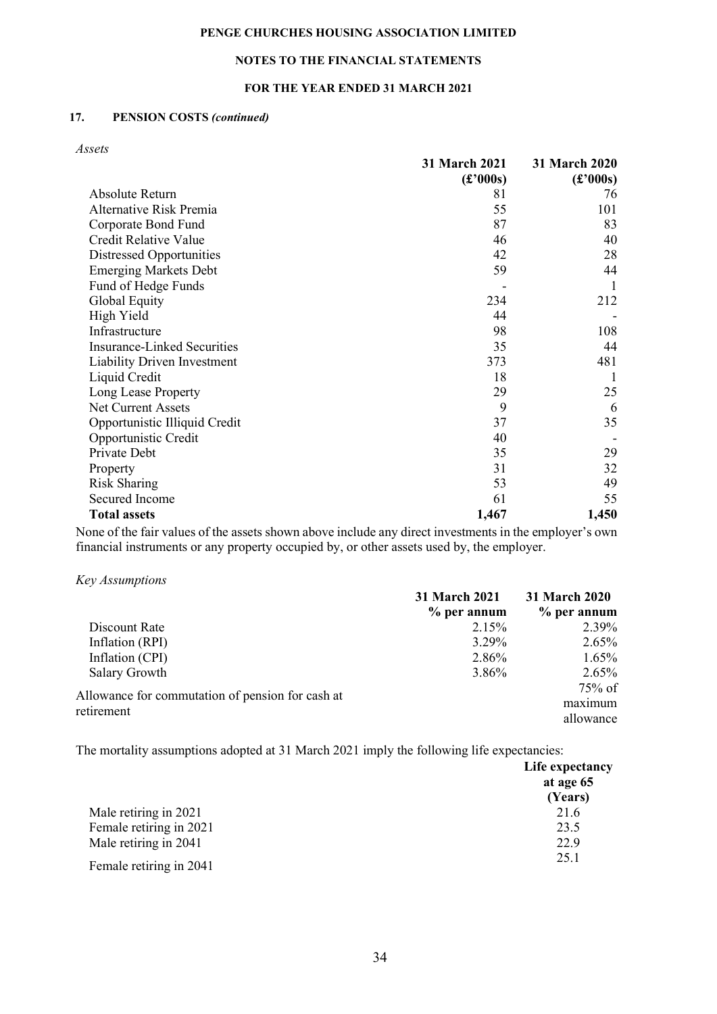### NOTES TO THE FINANCIAL STATEMENTS

### FOR THE YEAR ENDED 31 MARCH 2021

### 17. PENSION COSTS (continued)

Assets

|                                    | 31 March 2021         | 31 March 2020         |
|------------------------------------|-----------------------|-----------------------|
|                                    | $\mathbf{f}$ (£'000s) | $\mathbf{f}$ (£'000s) |
| Absolute Return                    | 81                    | 76                    |
| Alternative Risk Premia            | 55                    | 101                   |
| Corporate Bond Fund                | 87                    | 83                    |
| Credit Relative Value              | 46                    | 40                    |
| Distressed Opportunities           | 42                    | 28                    |
| <b>Emerging Markets Debt</b>       | 59                    | 44                    |
| Fund of Hedge Funds                |                       | 1                     |
| Global Equity                      | 234                   | 212                   |
| High Yield                         | 44                    |                       |
| Infrastructure                     | 98                    | 108                   |
| <b>Insurance-Linked Securities</b> | 35                    | 44                    |
| Liability Driven Investment        | 373                   | 481                   |
| Liquid Credit                      | 18                    |                       |
| Long Lease Property                | 29                    | 25                    |
| Net Current Assets                 | 9                     | 6                     |
| Opportunistic Illiquid Credit      | 37                    | 35                    |
| Opportunistic Credit               | 40                    |                       |
| Private Debt                       | 35                    | 29                    |
| Property                           | 31                    | 32                    |
| Risk Sharing                       | 53                    | 49                    |
| Secured Income                     | 61                    | 55                    |
| <b>Total assets</b>                | 1,467                 | 1,450                 |

None of the fair values of the assets shown above include any direct investments in the employer's own financial instruments or any property occupied by, or other assets used by, the employer.

Key Assumptions

|                                                                | 31 March 2021<br>$%$ per annum | 31 March 2020 |
|----------------------------------------------------------------|--------------------------------|---------------|
|                                                                |                                | $%$ per annum |
| Discount Rate                                                  | 2.15%                          | 2.39%         |
| Inflation (RPI)                                                | 3.29%                          | $2.65\%$      |
| Inflation (CPI)                                                | 2.86%                          | $1.65\%$      |
| Salary Growth                                                  | 3.86%                          | $2.65\%$      |
|                                                                |                                | $75\%$ of     |
| Allowance for commutation of pension for cash at<br>retirement |                                | maximum       |
|                                                                |                                | allowance     |

The mortality assumptions adopted at 31 March 2021 imply the following life expectancies:

|                         | Life expectancy<br>at age 65<br>(Years) |
|-------------------------|-----------------------------------------|
| Male retiring in 2021   | 21.6                                    |
| Female retiring in 2021 | 23.5                                    |
| Male retiring in 2041   | 22.9                                    |
| Female retiring in 2041 | 25.1                                    |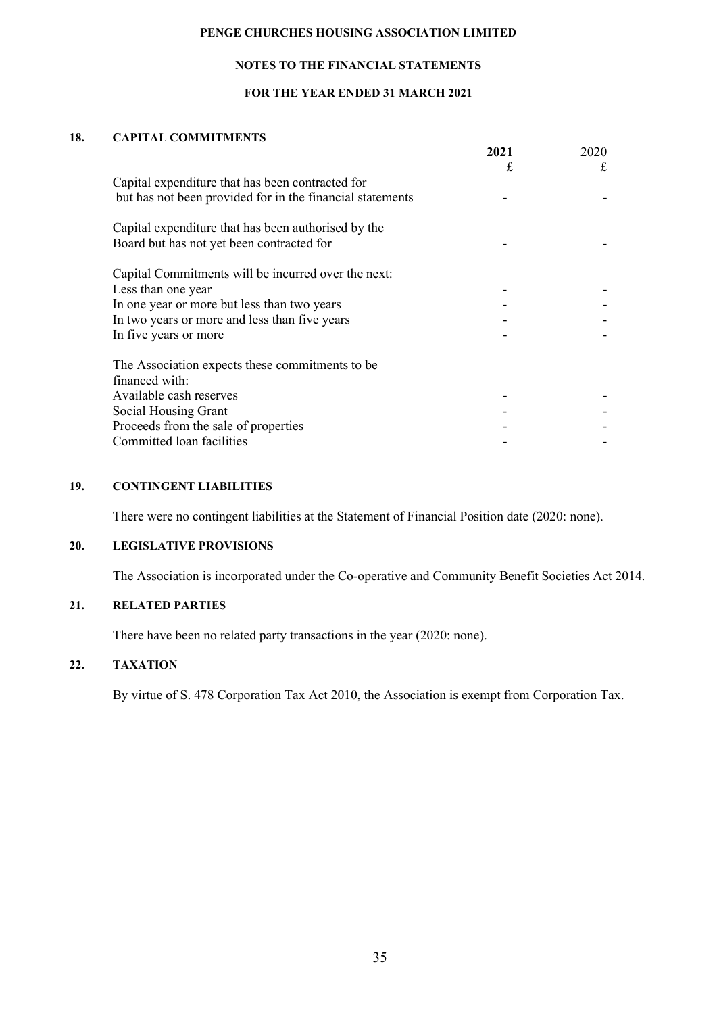### NOTES TO THE FINANCIAL STATEMENTS

### FOR THE YEAR ENDED 31 MARCH 2021

### 18. CAPITAL COMMITMENTS

|                                                           | 2021 | 2020 |
|-----------------------------------------------------------|------|------|
|                                                           | £    | £    |
| Capital expenditure that has been contracted for          |      |      |
| but has not been provided for in the financial statements |      |      |
| Capital expenditure that has been authorised by the       |      |      |
| Board but has not yet been contracted for                 |      |      |
| Capital Commitments will be incurred over the next:       |      |      |
| Less than one year                                        |      |      |
| In one year or more but less than two years               |      |      |
| In two years or more and less than five years             |      |      |
| In five years or more                                     |      |      |
| The Association expects these commitments to be           |      |      |
| financed with:                                            |      |      |
| Available cash reserves                                   |      |      |
| Social Housing Grant                                      |      |      |
| Proceeds from the sale of properties                      |      |      |
| Committed loan facilities                                 |      |      |

### 19. CONTINGENT LIABILITIES

There were no contingent liabilities at the Statement of Financial Position date (2020: none).

#### 20. LEGISLATIVE PROVISIONS

The Association is incorporated under the Co-operative and Community Benefit Societies Act 2014.

## 21. RELATED PARTIES

There have been no related party transactions in the year (2020: none).

# 22. TAXATION

By virtue of S. 478 Corporation Tax Act 2010, the Association is exempt from Corporation Tax.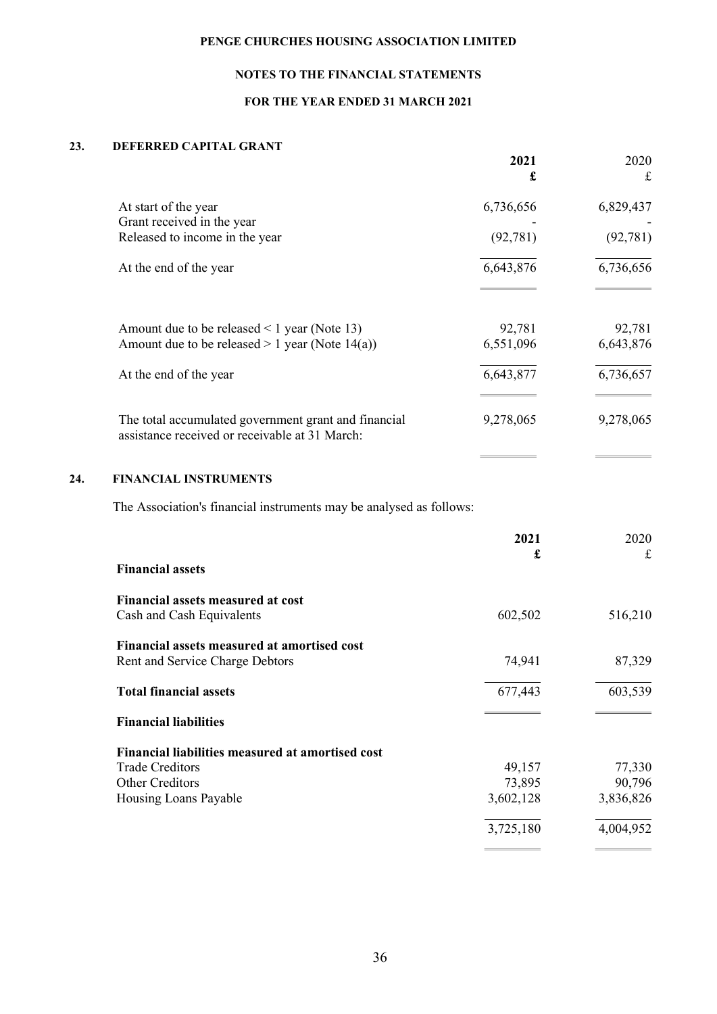# NOTES TO THE FINANCIAL STATEMENTS

# FOR THE YEAR ENDED 31 MARCH 2021

## 23. DEFERRED CAPITAL GRANT

|                                                                                                        | 2021<br>£ | 2020<br>£ |
|--------------------------------------------------------------------------------------------------------|-----------|-----------|
| At start of the year                                                                                   | 6,736,656 | 6,829,437 |
| Grant received in the year                                                                             |           |           |
| Released to income in the year                                                                         | (92, 781) | (92, 781) |
| At the end of the year                                                                                 | 6,643,876 | 6,736,656 |
| Amount due to be released $\leq 1$ year (Note 13)                                                      | 92,781    | 92,781    |
| Amount due to be released $> 1$ year (Note 14(a))                                                      | 6,551,096 | 6,643,876 |
| At the end of the year                                                                                 | 6,643,877 | 6,736,657 |
| The total accumulated government grant and financial<br>assistance received or receivable at 31 March: | 9,278,065 | 9,278,065 |
|                                                                                                        |           |           |

### 24. FINANCIAL INSTRUMENTS

The Association's financial instruments may be analysed as follows:

|                                                                       | 2021      | 2020      |
|-----------------------------------------------------------------------|-----------|-----------|
| <b>Financial assets</b>                                               | £         | £         |
| <b>Financial assets measured at cost</b><br>Cash and Cash Equivalents | 602,502   | 516,210   |
|                                                                       |           |           |
| Financial assets measured at amortised cost                           |           |           |
| Rent and Service Charge Debtors                                       | 74,941    | 87,329    |
| <b>Total financial assets</b>                                         | 677,443   | 603,539   |
| <b>Financial liabilities</b>                                          |           |           |
| Financial liabilities measured at amortised cost                      |           |           |
| <b>Trade Creditors</b>                                                | 49,157    | 77,330    |
| <b>Other Creditors</b>                                                | 73,895    | 90,796    |
| Housing Loans Payable                                                 | 3,602,128 | 3,836,826 |
|                                                                       | 3,725,180 | 4,004,952 |
|                                                                       |           |           |